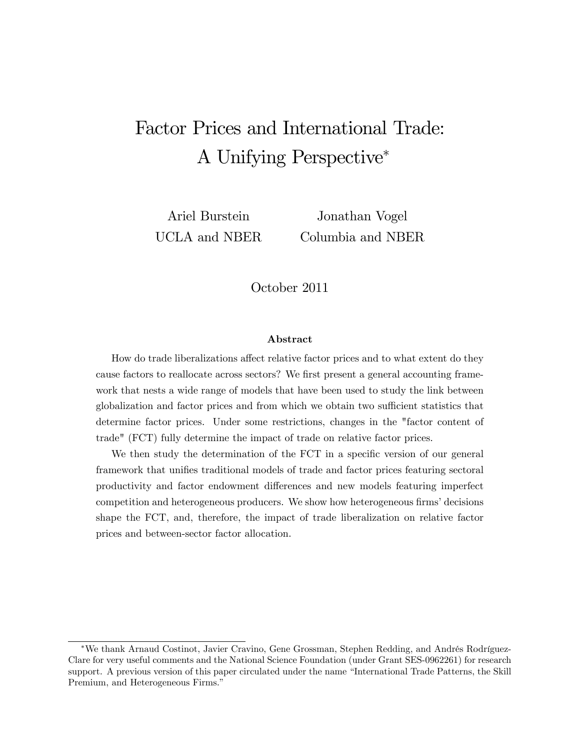# Factor Prices and International Trade: A Unifying Perspective

Ariel Burstein UCLA and NBER

Jonathan Vogel Columbia and NBER

October 2011

#### Abstract

How do trade liberalizations affect relative factor prices and to what extent do they cause factors to reallocate across sectors? We first present a general accounting framework that nests a wide range of models that have been used to study the link between globalization and factor prices and from which we obtain two sufficient statistics that determine factor prices. Under some restrictions, changes in the "factor content of trade" (FCT) fully determine the impact of trade on relative factor prices.

We then study the determination of the FCT in a specific version of our general framework that unifies traditional models of trade and factor prices featuring sectoral productivity and factor endowment differences and new models featuring imperfect competition and heterogeneous producers. We show how heterogeneous firms' decisions shape the FCT, and, therefore, the impact of trade liberalization on relative factor prices and between-sector factor allocation.

<sup>\*</sup>We thank Arnaud Costinot, Javier Cravino, Gene Grossman, Stephen Redding, and Andrés Rodríguez-Clare for very useful comments and the National Science Foundation (under Grant SES-0962261) for research support. A previous version of this paper circulated under the name "International Trade Patterns, the Skill Premium, and Heterogeneous Firms."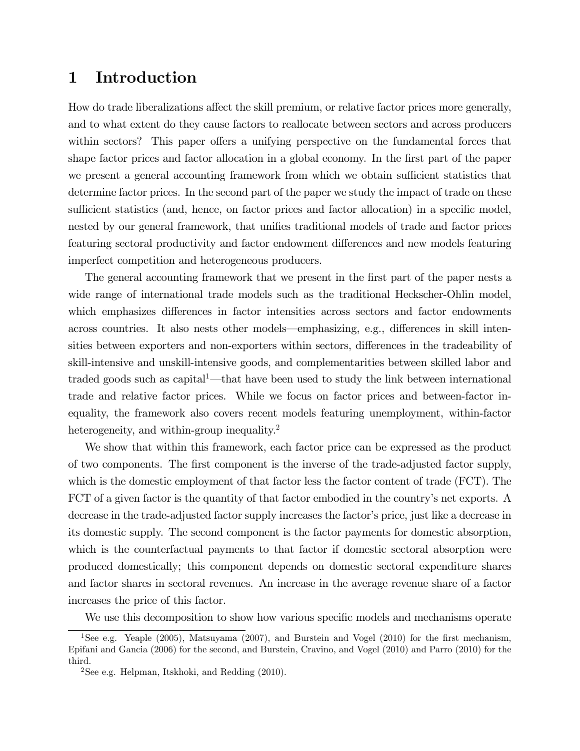### 1 Introduction

How do trade liberalizations affect the skill premium, or relative factor prices more generally, and to what extent do they cause factors to reallocate between sectors and across producers within sectors? This paper offers a unifying perspective on the fundamental forces that shape factor prices and factor allocation in a global economy. In the first part of the paper we present a general accounting framework from which we obtain sufficient statistics that determine factor prices. In the second part of the paper we study the impact of trade on these sufficient statistics (and, hence, on factor prices and factor allocation) in a specific model, nested by our general framework, that unifies traditional models of trade and factor prices featuring sectoral productivity and factor endowment differences and new models featuring imperfect competition and heterogeneous producers.

The general accounting framework that we present in the first part of the paper nests a wide range of international trade models such as the traditional Heckscher-Ohlin model, which emphasizes differences in factor intensities across sectors and factor endowments across countries. It also nests other models—emphasizing, e.g., differences in skill intensities between exporters and non-exporters within sectors, differences in the tradeability of skill-intensive and unskill-intensive goods, and complementarities between skilled labor and traded goods such as capital<sup>1</sup>—that have been used to study the link between international trade and relative factor prices. While we focus on factor prices and between-factor inequality, the framework also covers recent models featuring unemployment, within-factor heterogeneity, and within-group inequality.<sup>2</sup>

We show that within this framework, each factor price can be expressed as the product of two components. The Örst component is the inverse of the trade-adjusted factor supply, which is the domestic employment of that factor less the factor content of trade (FCT). The FCT of a given factor is the quantity of that factor embodied in the country's net exports. A decrease in the trade-adjusted factor supply increases the factor's price, just like a decrease in its domestic supply. The second component is the factor payments for domestic absorption, which is the counterfactual payments to that factor if domestic sectoral absorption were produced domestically; this component depends on domestic sectoral expenditure shares and factor shares in sectoral revenues. An increase in the average revenue share of a factor increases the price of this factor.

We use this decomposition to show how various specific models and mechanisms operate

<sup>&</sup>lt;sup>1</sup>See e.g. Yeaple (2005), Matsuyama (2007), and Burstein and Vogel (2010) for the first mechanism, Epifani and Gancia (2006) for the second, and Burstein, Cravino, and Vogel (2010) and Parro (2010) for the third.

 $2$ See e.g. Helpman, Itskhoki, and Redding  $(2010)$ .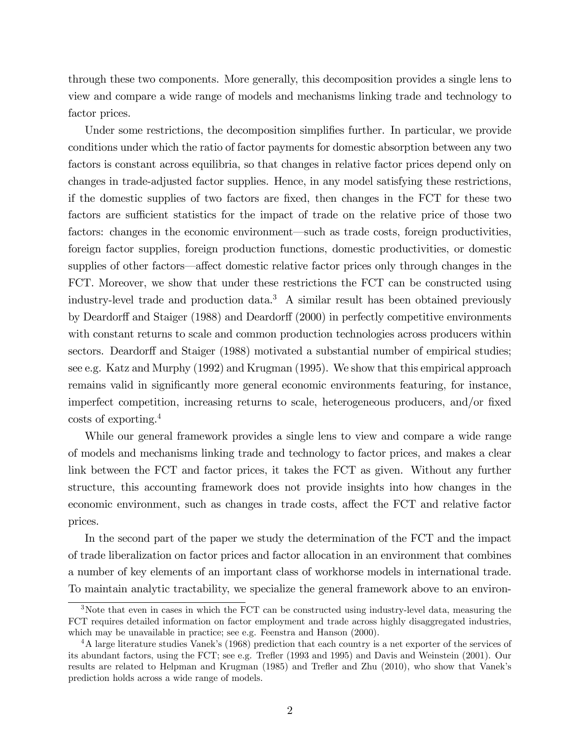through these two components. More generally, this decomposition provides a single lens to view and compare a wide range of models and mechanisms linking trade and technology to factor prices.

Under some restrictions, the decomposition simplifies further. In particular, we provide conditions under which the ratio of factor payments for domestic absorption between any two factors is constant across equilibria, so that changes in relative factor prices depend only on changes in trade-adjusted factor supplies. Hence, in any model satisfying these restrictions, if the domestic supplies of two factors are Öxed, then changes in the FCT for these two factors are sufficient statistics for the impact of trade on the relative price of those two factors: changes in the economic environment—such as trade costs, foreign productivities, foreign factor supplies, foreign production functions, domestic productivities, or domestic supplies of other factors—affect domestic relative factor prices only through changes in the FCT. Moreover, we show that under these restrictions the FCT can be constructed using industry-level trade and production data.<sup>3</sup> A similar result has been obtained previously by Deardorff and Staiger (1988) and Deardorff (2000) in perfectly competitive environments with constant returns to scale and common production technologies across producers within sectors. Deardorff and Staiger (1988) motivated a substantial number of empirical studies; see e.g. Katz and Murphy (1992) and Krugman (1995). We show that this empirical approach remains valid in significantly more general economic environments featuring, for instance, imperfect competition, increasing returns to scale, heterogeneous producers, and/or fixed costs of exporting.<sup>4</sup>

While our general framework provides a single lens to view and compare a wide range of models and mechanisms linking trade and technology to factor prices, and makes a clear link between the FCT and factor prices, it takes the FCT as given. Without any further structure, this accounting framework does not provide insights into how changes in the economic environment, such as changes in trade costs, affect the FCT and relative factor prices.

In the second part of the paper we study the determination of the FCT and the impact of trade liberalization on factor prices and factor allocation in an environment that combines a number of key elements of an important class of workhorse models in international trade. To maintain analytic tractability, we specialize the general framework above to an environ-

<sup>&</sup>lt;sup>3</sup>Note that even in cases in which the FCT can be constructed using industry-level data, measuring the FCT requires detailed information on factor employment and trade across highly disaggregated industries, which may be unavailable in practice; see e.g. Feenstra and Hanson (2000).

<sup>&</sup>lt;sup>4</sup>A large literature studies Vanek's (1968) prediction that each country is a net exporter of the services of its abundant factors, using the FCT; see e.g. Trefler (1993 and 1995) and Davis and Weinstein (2001). Our results are related to Helpman and Krugman (1985) and Trefler and Zhu (2010), who show that Vanek's prediction holds across a wide range of models.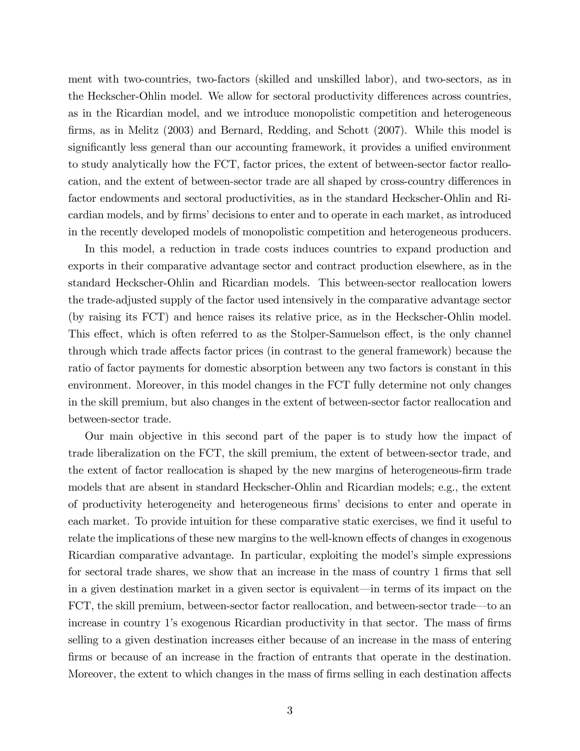ment with two-countries, two-factors (skilled and unskilled labor), and two-sectors, as in the Heckscher-Ohlin model. We allow for sectoral productivity differences across countries, as in the Ricardian model, and we introduce monopolistic competition and heterogeneous firms, as in Melitz (2003) and Bernard, Redding, and Schott (2007). While this model is significantly less general than our accounting framework, it provides a unified environment to study analytically how the FCT, factor prices, the extent of between-sector factor reallocation, and the extent of between-sector trade are all shaped by cross-country differences in factor endowments and sectoral productivities, as in the standard Heckscher-Ohlin and Ricardian models, and by firms' decisions to enter and to operate in each market, as introduced in the recently developed models of monopolistic competition and heterogeneous producers.

In this model, a reduction in trade costs induces countries to expand production and exports in their comparative advantage sector and contract production elsewhere, as in the standard Heckscher-Ohlin and Ricardian models. This between-sector reallocation lowers the trade-adjusted supply of the factor used intensively in the comparative advantage sector (by raising its FCT) and hence raises its relative price, as in the Heckscher-Ohlin model. This effect, which is often referred to as the Stolper-Samuelson effect, is the only channel through which trade affects factor prices (in contrast to the general framework) because the ratio of factor payments for domestic absorption between any two factors is constant in this environment. Moreover, in this model changes in the FCT fully determine not only changes in the skill premium, but also changes in the extent of between-sector factor reallocation and between-sector trade.

Our main objective in this second part of the paper is to study how the impact of trade liberalization on the FCT, the skill premium, the extent of between-sector trade, and the extent of factor reallocation is shaped by the new margins of heterogeneous-firm trade models that are absent in standard Heckscher-Ohlin and Ricardian models; e.g., the extent of productivity heterogeneity and heterogeneous Örmsí decisions to enter and operate in each market. To provide intuition for these comparative static exercises, we find it useful to relate the implications of these new margins to the well-known effects of changes in exogenous Ricardian comparative advantage. In particular, exploiting the model's simple expressions for sectoral trade shares, we show that an increase in the mass of country 1 firms that sell in a given destination market in a given sector is equivalent—in terms of its impact on the FCT, the skill premium, between-sector factor reallocation, and between-sector trade—to an increase in country 1's exogenous Ricardian productivity in that sector. The mass of firms selling to a given destination increases either because of an increase in the mass of entering firms or because of an increase in the fraction of entrants that operate in the destination. Moreover, the extent to which changes in the mass of firms selling in each destination affects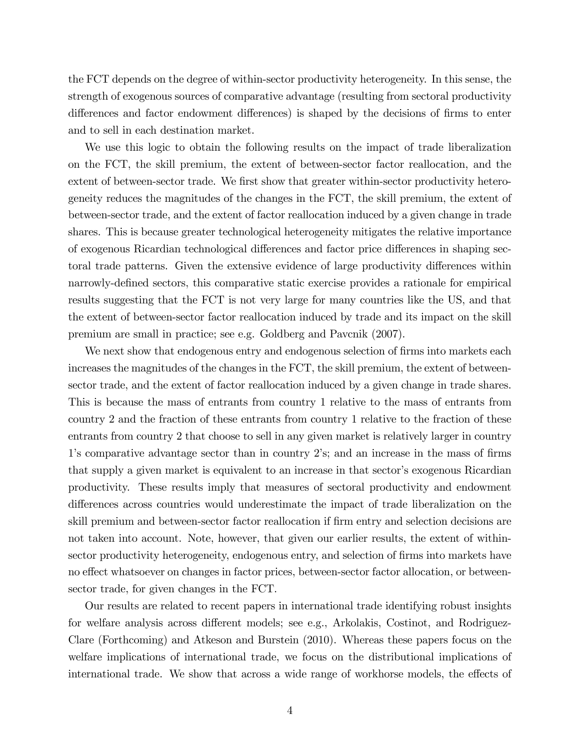the FCT depends on the degree of within-sector productivity heterogeneity. In this sense, the strength of exogenous sources of comparative advantage (resulting from sectoral productivity differences and factor endowment differences) is shaped by the decisions of firms to enter and to sell in each destination market.

We use this logic to obtain the following results on the impact of trade liberalization on the FCT, the skill premium, the extent of between-sector factor reallocation, and the extent of between-sector trade. We first show that greater within-sector productivity heterogeneity reduces the magnitudes of the changes in the FCT, the skill premium, the extent of between-sector trade, and the extent of factor reallocation induced by a given change in trade shares. This is because greater technological heterogeneity mitigates the relative importance of exogenous Ricardian technological differences and factor price differences in shaping sectoral trade patterns. Given the extensive evidence of large productivity differences within narrowly-defined sectors, this comparative static exercise provides a rationale for empirical results suggesting that the FCT is not very large for many countries like the US, and that the extent of between-sector factor reallocation induced by trade and its impact on the skill premium are small in practice; see e.g. Goldberg and Pavcnik (2007).

We next show that endogenous entry and endogenous selection of firms into markets each increases the magnitudes of the changes in the FCT, the skill premium, the extent of betweensector trade, and the extent of factor reallocation induced by a given change in trade shares. This is because the mass of entrants from country 1 relative to the mass of entrants from country 2 and the fraction of these entrants from country 1 relative to the fraction of these entrants from country 2 that choose to sell in any given market is relatively larger in country 1's comparative advantage sector than in country 2's; and an increase in the mass of firms that supply a given market is equivalent to an increase in that sector's exogenous Ricardian productivity. These results imply that measures of sectoral productivity and endowment differences across countries would underestimate the impact of trade liberalization on the skill premium and between-sector factor reallocation if firm entry and selection decisions are not taken into account. Note, however, that given our earlier results, the extent of withinsector productivity heterogeneity, endogenous entry, and selection of firms into markets have no effect whatsoever on changes in factor prices, between-sector factor allocation, or betweensector trade, for given changes in the FCT.

Our results are related to recent papers in international trade identifying robust insights for welfare analysis across different models; see e.g., Arkolakis, Costinot, and Rodriguez-Clare (Forthcoming) and Atkeson and Burstein (2010). Whereas these papers focus on the welfare implications of international trade, we focus on the distributional implications of international trade. We show that across a wide range of workhorse models, the effects of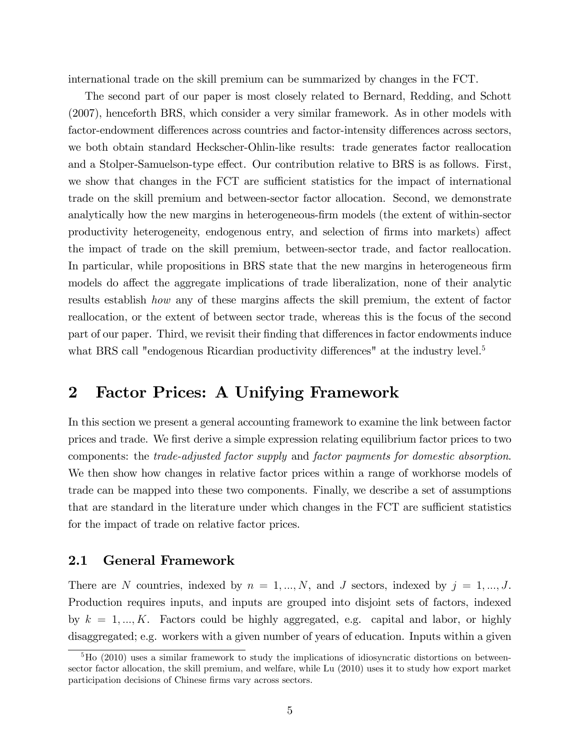international trade on the skill premium can be summarized by changes in the FCT.

The second part of our paper is most closely related to Bernard, Redding, and Schott (2007), henceforth BRS, which consider a very similar framework. As in other models with factor-endowment differences across countries and factor-intensity differences across sectors, we both obtain standard Heckscher-Ohlin-like results: trade generates factor reallocation and a Stolper-Samuelson-type effect. Our contribution relative to BRS is as follows. First, we show that changes in the FCT are sufficient statistics for the impact of international trade on the skill premium and between-sector factor allocation. Second, we demonstrate analytically how the new margins in heterogeneous-firm models (the extent of within-sector productivity heterogeneity, endogenous entry, and selection of firms into markets) affect the impact of trade on the skill premium, between-sector trade, and factor reallocation. In particular, while propositions in BRS state that the new margins in heterogeneous firm models do affect the aggregate implications of trade liberalization, none of their analytic results establish how any of these margins affects the skill premium, the extent of factor reallocation, or the extent of between sector trade, whereas this is the focus of the second part of our paper. Third, we revisit their finding that differences in factor endowments induce what BRS call "endogenous Ricardian productivity differences" at the industry level.<sup>5</sup>

# 2 Factor Prices: A Unifying Framework

In this section we present a general accounting framework to examine the link between factor prices and trade. We Örst derive a simple expression relating equilibrium factor prices to two components: the trade-adjusted factor supply and factor payments for domestic absorption. We then show how changes in relative factor prices within a range of workhorse models of trade can be mapped into these two components. Finally, we describe a set of assumptions that are standard in the literature under which changes in the FCT are sufficient statistics for the impact of trade on relative factor prices.

### 2.1 General Framework

There are N countries, indexed by  $n = 1, ..., N$ , and J sectors, indexed by  $j = 1, ..., J$ . Production requires inputs, and inputs are grouped into disjoint sets of factors, indexed by  $k = 1, ..., K$ . Factors could be highly aggregated, e.g. capital and labor, or highly disaggregated; e.g. workers with a given number of years of education. Inputs within a given

 ${}^5$ Ho (2010) uses a similar framework to study the implications of idiosyncratic distortions on betweensector factor allocation, the skill premium, and welfare, while Lu (2010) uses it to study how export market participation decisions of Chinese firms vary across sectors.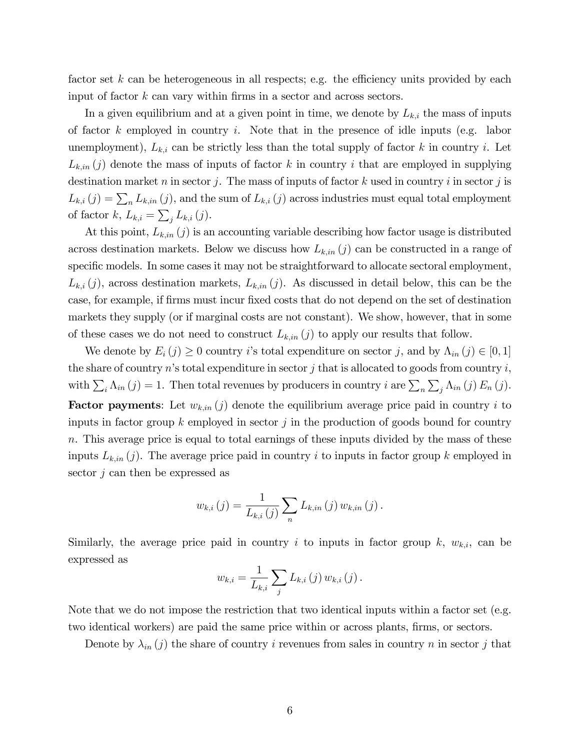factor set  $k$  can be heterogeneous in all respects; e.g. the efficiency units provided by each input of factor  $k$  can vary within firms in a sector and across sectors.

In a given equilibrium and at a given point in time, we denote by  $L_{k,i}$  the mass of inputs of factor  $k$  employed in country  $i$ . Note that in the presence of idle inputs (e.g. labor unemployment),  $L_{k,i}$  can be strictly less than the total supply of factor k in country i. Let  $L_{k,in}(j)$  denote the mass of inputs of factor k in country i that are employed in supplying destination market n in sector j. The mass of inputs of factor k used in country i in sector j is  $L_{k,i}(j) = \sum_{n} L_{k,in}(j)$ , and the sum of  $L_{k,i}(j)$  across industries must equal total employment of factor  $k, L_{k,i} = \sum_j L_{k,i}(j)$ .

At this point,  $L_{k,in}(j)$  is an accounting variable describing how factor usage is distributed across destination markets. Below we discuss how  $L_{k,in}(j)$  can be constructed in a range of specific models. In some cases it may not be straightforward to allocate sectoral employment,  $L_{k,i}(j)$ , across destination markets,  $L_{k,in}(j)$ . As discussed in detail below, this can be the case, for example, if Örms must incur Öxed costs that do not depend on the set of destination markets they supply (or if marginal costs are not constant). We show, however, that in some of these cases we do not need to construct  $L_{k,in}(j)$  to apply our results that follow.

We denote by  $E_i(j) \geq 0$  country i's total expenditure on sector j, and by  $\Lambda_{in}(j) \in [0, 1]$ the share of country  $n$ 's total expenditure in sector  $j$  that is allocated to goods from country  $i$ , with  $\sum_i \Lambda_{in}(j) = 1$ . Then total revenues by producers in country i are  $\sum_n \sum_j \Lambda_{in}(j) E_n(j)$ . **Factor payments**: Let  $w_{k,in}(j)$  denote the equilibrium average price paid in country i to inputs in factor group  $k$  employed in sector j in the production of goods bound for country n. This average price is equal to total earnings of these inputs divided by the mass of these inputs  $L_{k,in}(j)$ . The average price paid in country i to inputs in factor group k employed in sector  $j$  can then be expressed as

$$
w_{k,i}(j) = \frac{1}{L_{k,i}(j)} \sum_{n} L_{k,in}(j) w_{k,in}(j).
$$

Similarly, the average price paid in country i to inputs in factor group  $k$ ,  $w_{k,i}$ , can be expressed as

$$
w_{k,i} = \frac{1}{L_{k,i}} \sum_{j} L_{k,i}(j) w_{k,i}(j).
$$

Note that we do not impose the restriction that two identical inputs within a factor set (e.g. two identical workers) are paid the same price within or across plants, firms, or sectors.

Denote by  $\lambda_{in} (j)$  the share of country i revenues from sales in country n in sector j that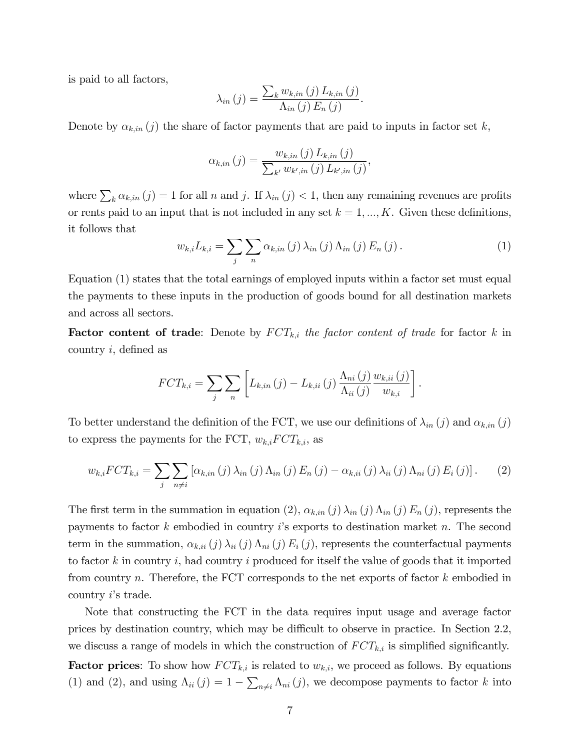is paid to all factors,

$$
\lambda_{in}(j) = \frac{\sum_{k} w_{k,in}(j) L_{k,in}(j)}{\Lambda_{in}(j) E_{n}(j)}.
$$

Denote by  $\alpha_{k,in} (j)$  the share of factor payments that are paid to inputs in factor set k,

$$
\alpha_{k,in}(j) = \frac{w_{k,in}(j) L_{k,in}(j)}{\sum_{k'} w_{k',in}(j) L_{k',in}(j)},
$$

where  $\sum_{k} \alpha_{k,in} (j) = 1$  for all n and j. If  $\lambda_{in} (j) < 1$ , then any remaining revenues are profits or rents paid to an input that is not included in any set  $k = 1, ..., K$ . Given these definitions, it follows that

$$
w_{k,i}L_{k,i} = \sum_{j} \sum_{n} \alpha_{k,in}(j) \lambda_{in}(j) \Lambda_{in}(j) E_{n}(j).
$$
 (1)

Equation (1) states that the total earnings of employed inputs within a factor set must equal the payments to these inputs in the production of goods bound for all destination markets and across all sectors.

**Factor content of trade:** Denote by  $FCT_{k,i}$  the factor content of trade for factor k in country  $i$ , defined as

$$
FCT_{k,i} = \sum_{j} \sum_{n} \left[ L_{k,in}(j) - L_{k,ii}(j) \frac{\Lambda_{ni}(j)}{\Lambda_{ii}(j)} \frac{w_{k,ii}(j)}{w_{k,i}} \right].
$$

To better understand the definition of the FCT, we use our definitions of  $\lambda_{in} (j)$  and  $\alpha_{k,in} (j)$ to express the payments for the FCT,  $w_{k,i}FCT_{k,i}$ , as

$$
w_{k,i} FCT_{k,i} = \sum_{j} \sum_{n \neq i} [\alpha_{k,in}(j) \lambda_{in}(j) \Lambda_{in}(j) E_{n}(j) - \alpha_{k,ii}(j) \lambda_{ii}(j) \Lambda_{ni}(j) E_{i}(j)].
$$
 (2)

The first term in the summation in equation (2),  $\alpha_{k,in} (j) \lambda_{in} (j) \Lambda_{in} (j) E_n (j)$ , represents the payments to factor k embodied in country is exports to destination market n. The second term in the summation,  $\alpha_{k,ii} (j) \lambda_{ii} (j) \Lambda_{ni} (j) E_i (j)$ , represents the counterfactual payments to factor k in country i, had country i produced for itself the value of goods that it imported from country n. Therefore, the FCT corresponds to the net exports of factor  $k$  embodied in country  $i$ 's trade.

Note that constructing the FCT in the data requires input usage and average factor prices by destination country, which may be difficult to observe in practice. In Section 2.2, we discuss a range of models in which the construction of  $FCT_{k,i}$  is simplified significantly. **Factor prices**: To show how  $FCT_{k,i}$  is related to  $w_{k,i}$ , we proceed as follows. By equations (1) and (2), and using  $\Lambda_{ii} (j) = 1 - \sum_{n \neq i} \Lambda_{ni} (j)$ , we decompose payments to factor k into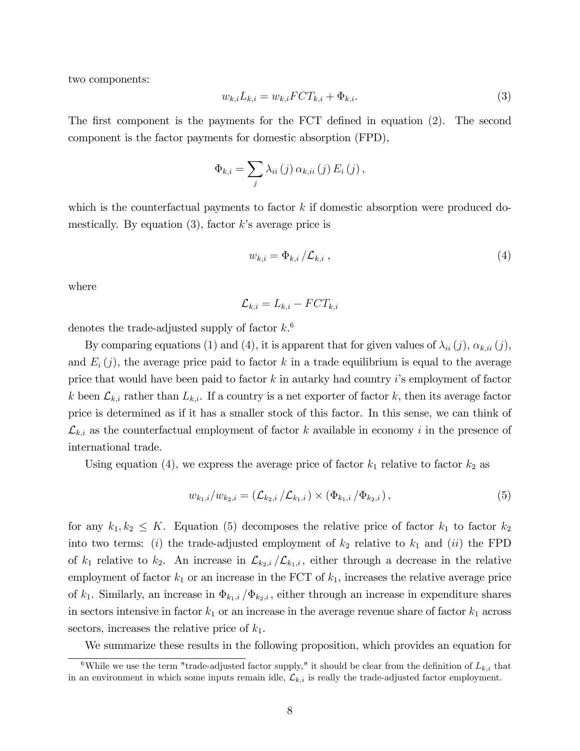two components:

$$
w_{k,i}L_{k,i} = w_{k,i}FCT_{k,i} + \Phi_{k,i}.
$$
\n
$$
(3)
$$

The first component is the payments for the FCT defined in equation  $(2)$ . The second component is the factor payments for domestic absorption (FPD),

$$
\Phi_{k,i} = \sum_{j} \lambda_{ii} (j) \alpha_{k,ii} (j) E_i (j),
$$

which is the counterfactual payments to factor  $k$  if domestic absorption were produced domestically. By equation  $(3)$ , factor k's average price is

$$
w_{k,i} = \Phi_{k,i} / \mathcal{L}_{k,i} \,, \tag{4}
$$

where

$$
\mathcal{L}_{k,i} = L_{k,i} - FCT_{k,i}
$$

denotes the trade-adjusted supply of factor  $k$ <sup>6</sup>

By comparing equations (1) and (4), it is apparent that for given values of  $\lambda_{ii} (j)$ ,  $\alpha_{k,ii} (j)$ , and  $E_i(j)$ , the average price paid to factor k in a trade equilibrium is equal to the average price that would have been paid to factor  $k$  in autarky had country is employment of factor k been  $\mathcal{L}_{k,i}$  rather than  $L_{k,i}$ . If a country is a net exporter of factor k, then its average factor price is determined as if it has a smaller stock of this factor. In this sense, we can think of  $\mathcal{L}_{k,i}$  as the counterfactual employment of factor k available in economy i in the presence of international trade.

Using equation (4), we express the average price of factor  $k_1$  relative to factor  $k_2$  as

$$
w_{k_1,i}/w_{k_2,i} = (\mathcal{L}_{k_2,i}/\mathcal{L}_{k_1,i}) \times (\Phi_{k_1,i}/\Phi_{k_2,i}),
$$
\n(5)

for any  $k_1, k_2 \leq K$ . Equation (5) decomposes the relative price of factor  $k_1$  to factor  $k_2$ into two terms: (i) the trade-adjusted employment of  $k_2$  relative to  $k_1$  and (ii) the FPD of  $k_1$  relative to  $k_2$ . An increase in  $\mathcal{L}_{k_2,i}/\mathcal{L}_{k_1,i}$ , either through a decrease in the relative employment of factor  $k_1$  or an increase in the FCT of  $k_1$ , increases the relative average price of  $k_1$ . Similarly, an increase in  $\Phi_{k_1,i} / \Phi_{k_2,i}$ , either through an increase in expenditure shares in sectors intensive in factor  $k_1$  or an increase in the average revenue share of factor  $k_1$  across sectors, increases the relative price of  $k_1$ .

We summarize these results in the following proposition, which provides an equation for

<sup>&</sup>lt;sup>6</sup>While we use the term "trade-adjusted factor supply," it should be clear from the definition of  $L_{k,i}$  that in an environment in which some inputs remain idle,  $\mathcal{L}_{k,i}$  is really the trade-adjusted factor employment.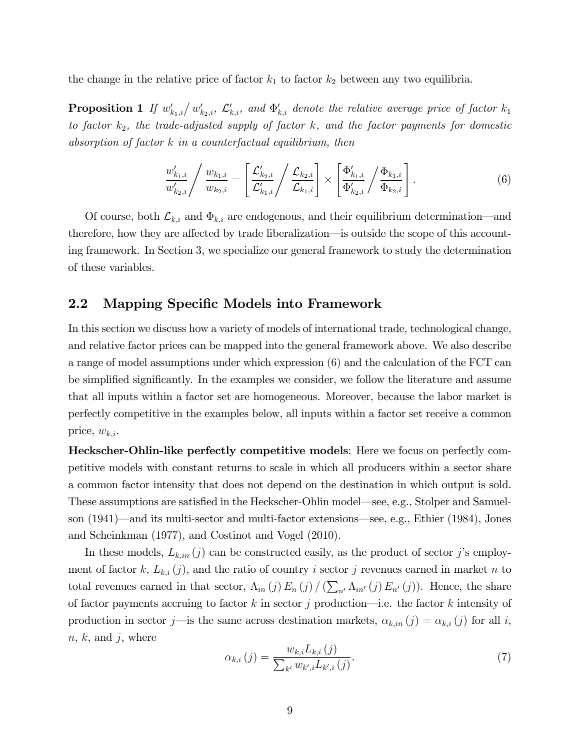the change in the relative price of factor  $k_1$  to factor  $k_2$  between any two equilibria.

**Proposition 1** If  $w'_{k_1,i}/w'_{k_2,i}$ ,  $\mathcal{L}'_{k,i}$ , and  $\Phi'_{k,i}$  denote the relative average price of factor  $k_1$ to factor  $k_2$ , the trade-adjusted supply of factor k, and the factor payments for domestic absorption of factor  $k$  in a counterfactual equilibrium, then

$$
\frac{w'_{k_1,i}}{w'_{k_2,i}} / \frac{w_{k_1,i}}{w_{k_2,i}} = \left[ \frac{\mathcal{L}'_{k_2,i}}{\mathcal{L}'_{k_1,i}} / \frac{\mathcal{L}_{k_2,i}}{\mathcal{L}_{k_1,i}} \right] \times \left[ \frac{\Phi'_{k_1,i}}{\Phi'_{k_2,i}} / \frac{\Phi_{k_1,i}}{\Phi_{k_2,i}} \right].
$$
\n(6)

Of course, both  $\mathcal{L}_{k,i}$  and  $\Phi_{k,i}$  are endogenous, and their equilibrium determination—and therefore, how they are affected by trade liberalization—is outside the scope of this accounting framework. In Section 3, we specialize our general framework to study the determination of these variables.

### 2.2 Mapping Specific Models into Framework

In this section we discuss how a variety of models of international trade, technological change, and relative factor prices can be mapped into the general framework above. We also describe a range of model assumptions under which expression (6) and the calculation of the FCT can be simplified significantly. In the examples we consider, we follow the literature and assume that all inputs within a factor set are homogeneous. Moreover, because the labor market is perfectly competitive in the examples below, all inputs within a factor set receive a common price,  $w_{k,i}$ .

Heckscher-Ohlin-like perfectly competitive models: Here we focus on perfectly competitive models with constant returns to scale in which all producers within a sector share a common factor intensity that does not depend on the destination in which output is sold. These assumptions are satisfied in the Heckscher-Ohlin model—see, e.g., Stolper and Samuelson  $(1941)$ —and its multi-sector and multi-factor extensions—see, e.g., Ethier (1984), Jones and Scheinkman (1977), and Costinot and Vogel (2010).

In these models,  $L_{k,in}(j)$  can be constructed easily, as the product of sector j's employment of factor k,  $L_{k,i}(j)$ , and the ratio of country i sector j revenues earned in market n to total revenues earned in that sector,  $\Lambda_{in} (j) E_n (j) / (\sum_{n'} \Lambda_{in'} (j) E_{n'} (j))$ . Hence, the share of factor payments accruing to factor k in sector j production—i.e. the factor k intensity of production in sector j—is the same across destination markets,  $\alpha_{k,in} (j) = \alpha_{k,i} (j)$  for all i,  $n, k, \text{ and } j, \text{ where}$ 

$$
\alpha_{k,i}(j) = \frac{w_{k,i} L_{k,i}(j)}{\sum_{k'} w_{k',i} L_{k',i}(j)}.
$$
\n(7)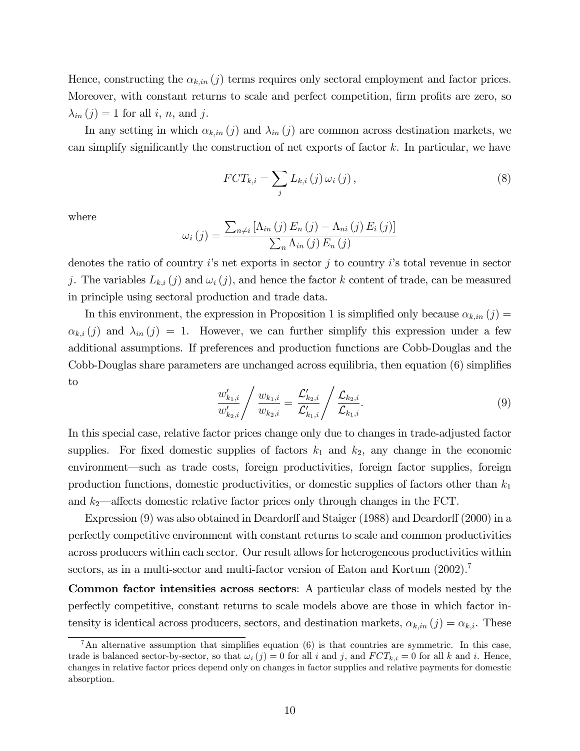Hence, constructing the  $\alpha_{k,in} (j)$  terms requires only sectoral employment and factor prices. Moreover, with constant returns to scale and perfect competition, firm profits are zero, so  $\lambda_{in} (j) = 1$  for all i, n, and j.

In any setting in which  $\alpha_{k,in} (j)$  and  $\lambda_{in} (j)$  are common across destination markets, we can simplify significantly the construction of net exports of factor  $k$ . In particular, we have

$$
FCT_{k,i} = \sum_{j} L_{k,i}(j) \omega_i(j), \qquad (8)
$$

where

$$
\omega_i(j) = \frac{\sum_{n \neq i} \left[ \Lambda_{in}(j) E_n(j) - \Lambda_{ni}(j) E_i(j) \right]}{\sum_{n} \Lambda_{in}(j) E_n(j)}
$$

denotes the ratio of country  $i$ 's net exports in sector  $j$  to country  $i$ 's total revenue in sector j. The variables  $L_{k,i}(j)$  and  $\omega_i(j)$ , and hence the factor k content of trade, can be measured in principle using sectoral production and trade data.

In this environment, the expression in Proposition 1 is simplified only because  $\alpha_{k,in} (j)$  =  $\alpha_{k,i} (j)$  and  $\lambda_{in} (j) = 1$ . However, we can further simplify this expression under a few additional assumptions. If preferences and production functions are Cobb-Douglas and the Cobb-Douglas share parameters are unchanged across equilibria, then equation  $(6)$  simplifies to

$$
\frac{w'_{k_1,i}}{w'_{k_2,i}} / \frac{w_{k_1,i}}{w_{k_2,i}} = \frac{\mathcal{L}'_{k_2,i}}{\mathcal{L}'_{k_1,i}} / \frac{\mathcal{L}_{k_2,i}}{\mathcal{L}_{k_1,i}}.
$$
\n(9)

In this special case, relative factor prices change only due to changes in trade-adjusted factor supplies. For fixed domestic supplies of factors  $k_1$  and  $k_2$ , any change in the economic environment—such as trade costs, foreign productivities, foreign factor supplies, foreign production functions, domestic productivities, or domestic supplies of factors other than  $k_1$ and  $k_2$ —affects domestic relative factor prices only through changes in the FCT.

Expression  $(9)$  was also obtained in Deardorff and Staiger (1988) and Deardorff (2000) in a perfectly competitive environment with constant returns to scale and common productivities across producers within each sector. Our result allows for heterogeneous productivities within sectors, as in a multi-sector and multi-factor version of Eaton and Kortum (2002).<sup>7</sup>

Common factor intensities across sectors: A particular class of models nested by the perfectly competitive, constant returns to scale models above are those in which factor intensity is identical across producers, sectors, and destination markets,  $\alpha_{k,in} (j) = \alpha_{k,i}$ . These

 ${}^{7}$ An alternative assumption that simplifies equation (6) is that countries are symmetric. In this case, trade is balanced sector-by-sector, so that  $\omega_i(j) = 0$  for all i and j, and  $FCT_{k,i} = 0$  for all k and i. Hence, changes in relative factor prices depend only on changes in factor supplies and relative payments for domestic absorption.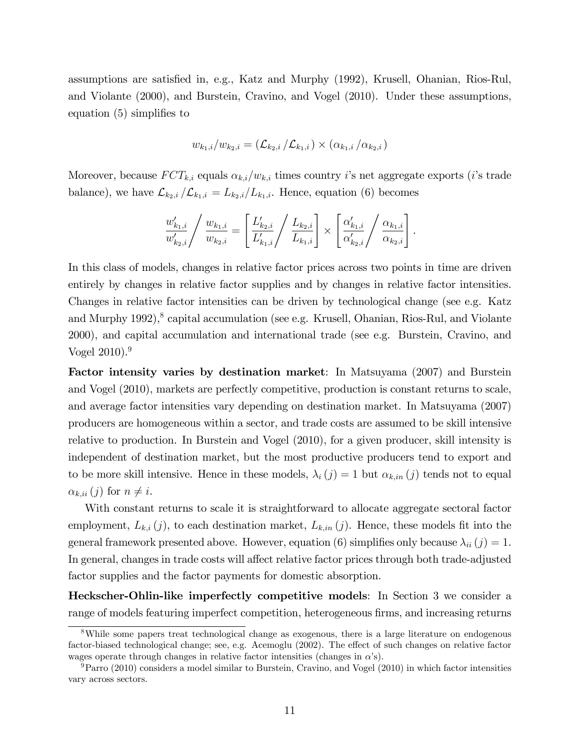assumptions are satisfied in, e.g., Katz and Murphy (1992), Krusell, Ohanian, Rios-Rul, and Violante (2000), and Burstein, Cravino, and Vogel (2010). Under these assumptions, equation  $(5)$  simplifies to

$$
w_{k_1,i}/w_{k_2,i} = (\mathcal{L}_{k_2,i}/\mathcal{L}_{k_1,i}) \times (\alpha_{k_1,i}/\alpha_{k_2,i})
$$

Moreover, because  $FCT_{k,i}$  equals  $\alpha_{k,i}/w_{k,i}$  times country i's net aggregate exports (i's trade balance), we have  $\mathcal{L}_{k_2,i}/\mathcal{L}_{k_1,i}=L_{k_2,i}/L_{k_1,i}$ . Hence, equation (6) becomes

$$
\frac{w'_{k_1,i}}{w'_{k_2,i}} / \frac{w_{k_1,i}}{w_{k_2,i}} = \left[ \frac{L'_{k_2,i}}{L'_{k_1,i}} / \frac{L_{k_2,i}}{L_{k_1,i}} \right] \times \left[ \frac{\alpha'_{k_1,i}}{\alpha'_{k_2,i}} / \frac{\alpha_{k_1,i}}{\alpha_{k_2,i}} \right].
$$

In this class of models, changes in relative factor prices across two points in time are driven entirely by changes in relative factor supplies and by changes in relative factor intensities. Changes in relative factor intensities can be driven by technological change (see e.g. Katz and Murphy 1992),<sup>8</sup> capital accumulation (see e.g. Krusell, Ohanian, Rios-Rul, and Violante 2000), and capital accumulation and international trade (see e.g. Burstein, Cravino, and Vogel  $2010$ .<sup>9</sup>

Factor intensity varies by destination market: In Matsuyama (2007) and Burstein and Vogel (2010), markets are perfectly competitive, production is constant returns to scale, and average factor intensities vary depending on destination market. In Matsuyama (2007) producers are homogeneous within a sector, and trade costs are assumed to be skill intensive relative to production. In Burstein and Vogel (2010), for a given producer, skill intensity is independent of destination market, but the most productive producers tend to export and to be more skill intensive. Hence in these models,  $\lambda_i (j) = 1$  but  $\alpha_{k,in} (j)$  tends not to equal  $\alpha_{k,ii}(j)$  for  $n \neq i$ .

With constant returns to scale it is straightforward to allocate aggregate sectoral factor employment,  $L_{k,i}(j)$ , to each destination market,  $L_{k,in}(j)$ . Hence, these models fit into the general framework presented above. However, equation (6) simplifies only because  $\lambda_{ii} (j) = 1$ . In general, changes in trade costs will affect relative factor prices through both trade-adjusted factor supplies and the factor payments for domestic absorption.

Heckscher-Ohlin-like imperfectly competitive models: In Section 3 we consider a range of models featuring imperfect competition, heterogeneous firms, and increasing returns

<sup>8</sup>While some papers treat technological change as exogenous, there is a large literature on endogenous factor-biased technological change; see, e.g. Acemoglu (2002). The effect of such changes on relative factor wages operate through changes in relative factor intensities (changes in  $\alpha$ 's).

 $9$ Parro (2010) considers a model similar to Burstein, Cravino, and Vogel (2010) in which factor intensities vary across sectors.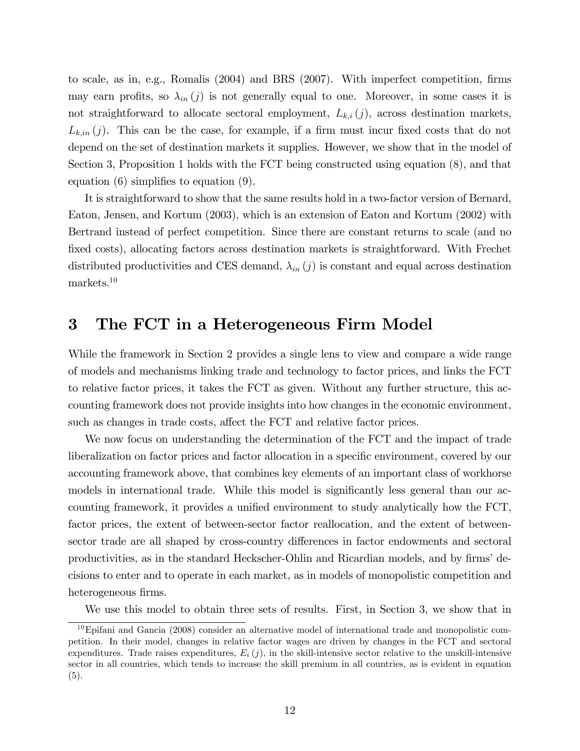to scale, as in, e.g., Romalis  $(2004)$  and BRS  $(2007)$ . With imperfect competition, firms may earn profits, so  $\lambda_{in} (j)$  is not generally equal to one. Moreover, in some cases it is not straightforward to allocate sectoral employment,  $L_{k,i}(j)$ , across destination markets,  $L_{k,in}(j)$ . This can be the case, for example, if a firm must incur fixed costs that do not depend on the set of destination markets it supplies. However, we show that in the model of Section 3, Proposition 1 holds with the FCT being constructed using equation (8), and that equation  $(6)$  simplifies to equation  $(9)$ .

It is straightforward to show that the same results hold in a two-factor version of Bernard, Eaton, Jensen, and Kortum (2003), which is an extension of Eaton and Kortum (2002) with Bertrand instead of perfect competition. Since there are constant returns to scale (and no fixed costs), allocating factors across destination markets is straightforward. With Frechet distributed productivities and CES demand,  $\lambda_{in} (j)$  is constant and equal across destination markets.<sup>10</sup>

# 3 The FCT in a Heterogeneous Firm Model

While the framework in Section 2 provides a single lens to view and compare a wide range of models and mechanisms linking trade and technology to factor prices, and links the FCT to relative factor prices, it takes the FCT as given. Without any further structure, this accounting framework does not provide insights into how changes in the economic environment, such as changes in trade costs, affect the FCT and relative factor prices.

We now focus on understanding the determination of the FCT and the impact of trade liberalization on factor prices and factor allocation in a specific environment, covered by our accounting framework above, that combines key elements of an important class of workhorse models in international trade. While this model is significantly less general than our accounting framework, it provides a unified environment to study analytically how the FCT, factor prices, the extent of between-sector factor reallocation, and the extent of betweensector trade are all shaped by cross-country differences in factor endowments and sectoral productivities, as in the standard Heckscher-Ohlin and Ricardian models, and by firms' decisions to enter and to operate in each market, as in models of monopolistic competition and heterogeneous firms.

We use this model to obtain three sets of results. First, in Section 3, we show that in

 $10$ Epifani and Gancia (2008) consider an alternative model of international trade and monopolistic competition. In their model, changes in relative factor wages are driven by changes in the FCT and sectoral expenditures. Trade raises expenditures,  $E_i(j)$ , in the skill-intensive sector relative to the unskill-intensive sector in all countries, which tends to increase the skill premium in all countries, as is evident in equation (5).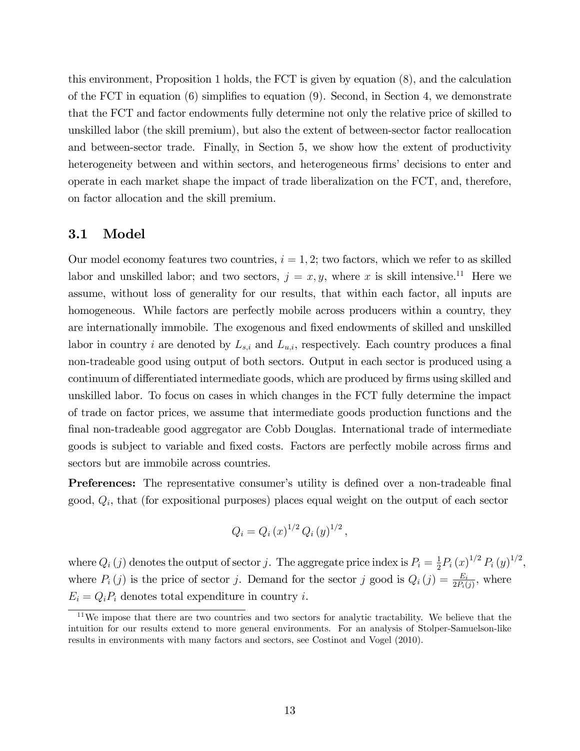this environment, Proposition 1 holds, the FCT is given by equation (8), and the calculation of the FCT in equation  $(6)$  simplifies to equation  $(9)$ . Second, in Section 4, we demonstrate that the FCT and factor endowments fully determine not only the relative price of skilled to unskilled labor (the skill premium), but also the extent of between-sector factor reallocation and between-sector trade. Finally, in Section 5, we show how the extent of productivity heterogeneity between and within sectors, and heterogeneous firms' decisions to enter and operate in each market shape the impact of trade liberalization on the FCT, and, therefore, on factor allocation and the skill premium.

### 3.1 Model

Our model economy features two countries,  $i = 1, 2$ ; two factors, which we refer to as skilled labor and unskilled labor; and two sectors,  $j = x, y$ , where x is skill intensive.<sup>11</sup> Here we assume, without loss of generality for our results, that within each factor, all inputs are homogeneous. While factors are perfectly mobile across producers within a country, they are internationally immobile. The exogenous and fixed endowments of skilled and unskilled labor in country i are denoted by  $L_{s,i}$  and  $L_{u,i}$ , respectively. Each country produces a final non-tradeable good using output of both sectors. Output in each sector is produced using a continuum of differentiated intermediate goods, which are produced by firms using skilled and unskilled labor. To focus on cases in which changes in the FCT fully determine the impact of trade on factor prices, we assume that intermediate goods production functions and the final non-tradeable good aggregator are Cobb Douglas. International trade of intermediate goods is subject to variable and Öxed costs. Factors are perfectly mobile across Örms and sectors but are immobile across countries.

**Preferences:** The representative consumer's utility is defined over a non-tradeable final good,  $Q_i$ , that (for expositional purposes) places equal weight on the output of each sector

$$
Q_i = Q_i (x)^{1/2} Q_i (y)^{1/2},
$$

where  $Q_i(j)$  denotes the output of sector j. The aggregate price index is  $P_i = \frac{1}{2}$  $\frac{1}{2}P_i(x)^{1/2}P_i(y)^{1/2},$ where  $P_i(j)$  is the price of sector j. Demand for the sector j good is  $Q_i(j) = \frac{E_i}{2P_i(j)}$ , where  $E_i = Q_i P_i$  denotes total expenditure in country *i*.

 $11$ We impose that there are two countries and two sectors for analytic tractability. We believe that the intuition for our results extend to more general environments. For an analysis of Stolper-Samuelson-like results in environments with many factors and sectors, see Costinot and Vogel (2010).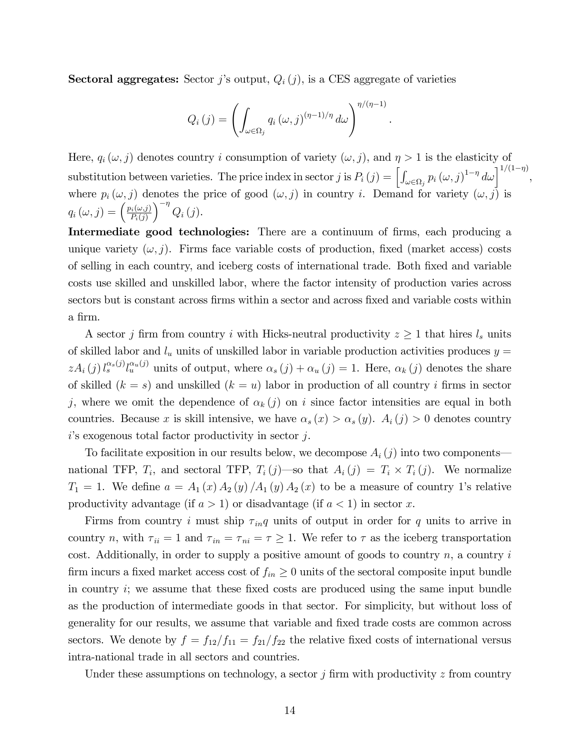**Sectoral aggregates:** Sector *j*'s output,  $Q_i(j)$ , is a CES aggregate of varieties

$$
Q_i(j) = \left(\int_{\omega \in \Omega_j} q_i(\omega, j)^{(\eta - 1)/\eta} d\omega\right)^{\eta/(\eta - 1)}
$$

.

Here,  $q_i(\omega, j)$  denotes country i consumption of variety  $(\omega, j)$ , and  $\eta > 1$  is the elasticity of substitution between varieties. The price index in sector j is  $P_i(j) = \left[\int_{\omega \in \Omega_j} p_i(\omega, j)^{1-\eta} d\omega\right]^{1/(1-\eta)}$ , where  $p_i(\omega, j)$  denotes the price of good  $(\omega, j)$  in country i. Demand for variety  $(\omega, j)$  is  $q_i(\omega, j) = \left(\frac{p_i(\omega, j)}{P_i(j)}\right)$  $P_i(j)$  $\Big)^{-\eta} Q_i(j).$ 

Intermediate good technologies: There are a continuum of firms, each producing a unique variety  $(\omega, j)$ . Firms face variable costs of production, fixed (market access) costs of selling in each country, and iceberg costs of international trade. Both Öxed and variable costs use skilled and unskilled labor, where the factor intensity of production varies across sectors but is constant across firms within a sector and across fixed and variable costs within a firm.

A sector j firm from country i with Hicks-neutral productivity  $z \geq 1$  that hires  $l_s$  units of skilled labor and  $l_u$  units of unskilled labor in variable production activities produces  $y =$  $zA_i(j) l_s^{\alpha_s(j)}l_u^{\alpha_u(j)}$  units of output, where  $\alpha_s(j) + \alpha_u(j) = 1$ . Here,  $\alpha_k(j)$  denotes the share of skilled  $(k = s)$  and unskilled  $(k = u)$  labor in production of all country i firms in sector j, where we omit the dependence of  $\alpha_k (j)$  on i since factor intensities are equal in both countries. Because x is skill intensive, we have  $\alpha_s(x) > \alpha_s(y)$ .  $A_i(j) > 0$  denotes country  $i$ 's exogenous total factor productivity in sector  $j$ .

To facilitate exposition in our results below, we decompose  $A_i(j)$  into two components national TFP,  $T_i$ , and sectoral TFP,  $T_i(j)$ —so that  $A_i(j) = T_i \times T_i(j)$ . We normalize  $T_1 = 1$ . We define  $a = A_1(x) A_2(y) A_1(y) A_2(x)$  to be a measure of country 1's relative productivity advantage (if  $a > 1$ ) or disadvantage (if  $a < 1$ ) in sector x.

Firms from country i must ship  $\tau_{inq}$  units of output in order for q units to arrive in country n, with  $\tau_{ii} = 1$  and  $\tau_{in} = \tau_{ni} = \tau \ge 1$ . We refer to  $\tau$  as the iceberg transportation cost. Additionally, in order to supply a positive amount of goods to country  $n$ , a country  $i$ firm incurs a fixed market access cost of  $f_{in} \geq 0$  units of the sectoral composite input bundle in country  $i$ ; we assume that these fixed costs are produced using the same input bundle as the production of intermediate goods in that sector. For simplicity, but without loss of generality for our results, we assume that variable and Öxed trade costs are common across sectors. We denote by  $f = f_{12}/f_{11} = f_{21}/f_{22}$  the relative fixed costs of international versus intra-national trade in all sectors and countries.

Under these assumptions on technology, a sector j firm with productivity  $z$  from country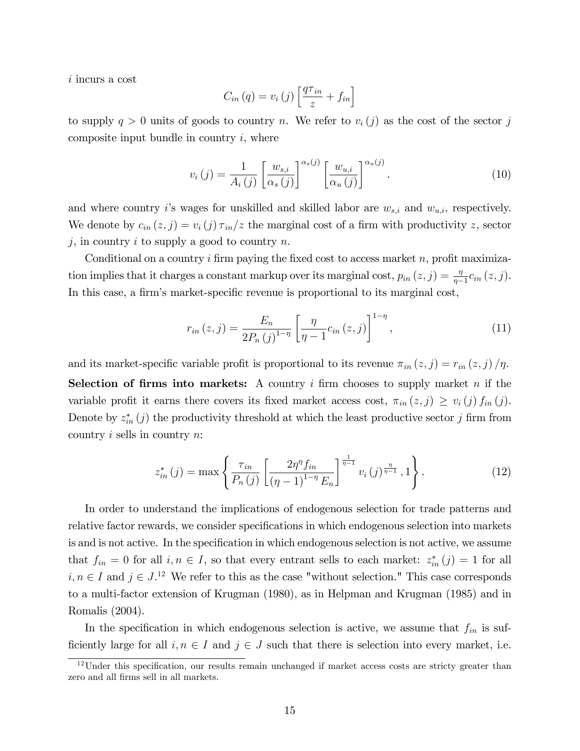i incurs a cost

$$
C_{in}(q) = v_i(j) \left[ \frac{q\tau_{in}}{z} + f_{in} \right]
$$

to supply  $q > 0$  units of goods to country n. We refer to  $v_i(j)$  as the cost of the sector j composite input bundle in country  $i$ , where

$$
v_i(j) = \frac{1}{A_i(j)} \left[ \frac{w_{s,i}}{\alpha_s(j)} \right]^{\alpha_s(j)} \left[ \frac{w_{u,i}}{\alpha_u(j)} \right]^{\alpha_u(j)}.
$$
 (10)

and where country i's wages for unskilled and skilled labor are  $w_{s,i}$  and  $w_{u,i}$ , respectively. We denote by  $c_{in}(z, j) = v_i(j) \tau_{in}/z$  the marginal cost of a firm with productivity z, sector  $j$ , in country  $i$  to supply a good to country  $n$ .

Conditional on a country i firm paying the fixed cost to access market n, profit maximization implies that it charges a constant markup over its marginal cost,  $p_{in}(z, j) = \frac{\eta}{\eta - 1} c_{in}(z, j)$ . In this case, a firm's market-specific revenue is proportional to its marginal cost,

$$
r_{in}(z,j) = \frac{E_n}{2P_n(j)^{1-\eta}} \left[ \frac{\eta}{\eta - 1} c_{in}(z,j) \right]^{1-\eta},
$$
\n(11)

and its market-specific variable profit is proportional to its revenue  $\pi_{in} (z, j) = r_{in} (z, j) / \eta$ . Selection of firms into markets: A country i firm chooses to supply market n if the variable profit it earns there covers its fixed market access cost,  $\pi_{in} (z, j) \geq v_i (j) f_{in} (j)$ . Denote by  $z_{in}^{*}(j)$  the productivity threshold at which the least productive sector j firm from country i sells in country n:

$$
z_{in}^*(j) = \max\left\{\frac{\tau_{in}}{P_n(j)} \left[\frac{2\eta^{\eta}f_{in}}{(\eta-1)^{1-\eta}E_n}\right]^{\frac{1}{\eta-1}} v_i(j)^{\frac{\eta}{\eta-1}}, 1\right\}.
$$
 (12)

In order to understand the implications of endogenous selection for trade patterns and relative factor rewards, we consider specifications in which endogenous selection into markets is and is not active. In the specification in which endogenous selection is not active, we assume that  $f_{in} = 0$  for all  $i, n \in I$ , so that every entrant sells to each market:  $z_{in}^{*}(j) = 1$  for all  $i, n \in I$  and  $j \in J$ .<sup>12</sup> We refer to this as the case "without selection." This case corresponds to a multi-factor extension of Krugman (1980), as in Helpman and Krugman (1985) and in Romalis (2004).

In the specification in which endogenous selection is active, we assume that  $f_{in}$  is sufficiently large for all  $i, n \in I$  and  $j \in J$  such that there is selection into every market, i.e.

 $12$ Under this specification, our results remain unchanged if market access costs are stricty greater than zero and all firms sell in all markets.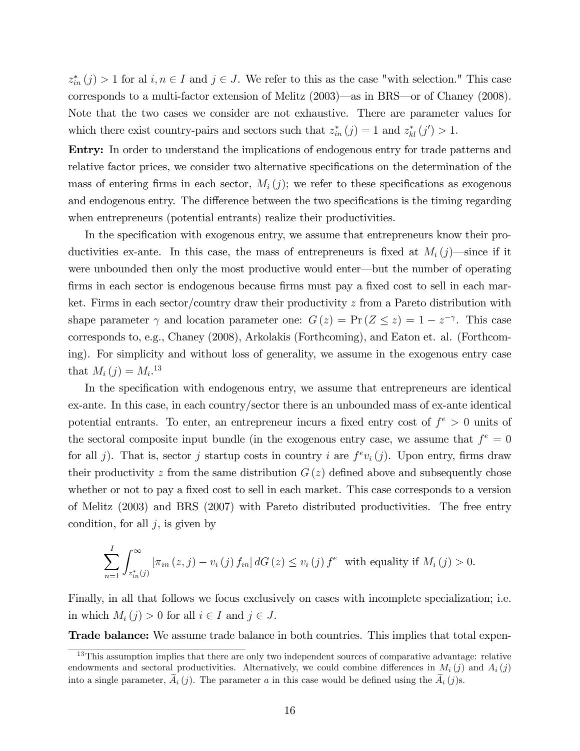$z_{in}^*(j) > 1$  for al  $i, n \in I$  and  $j \in J$ . We refer to this as the case "with selection." This case corresponds to a multi-factor extension of Melitz  $(2003)$ —as in BRS—or of Chaney (2008). Note that the two cases we consider are not exhaustive. There are parameter values for which there exist country-pairs and sectors such that  $z_{in}^*(j) = 1$  and  $z_{kl}^*(j') > 1$ .

Entry: In order to understand the implications of endogenous entry for trade patterns and relative factor prices, we consider two alternative specifications on the determination of the mass of entering firms in each sector,  $M_i(j)$ ; we refer to these specifications as exogenous and endogenous entry. The difference between the two specifications is the timing regarding when entrepreneurs (potential entrants) realize their productivities.

In the specification with exogenous entry, we assume that entrepreneurs know their productivities ex-ante. In this case, the mass of entrepreneurs is fixed at  $M_i(j)$ —since if it were unbounded then only the most productive would enter—but the number of operating firms in each sector is endogenous because firms must pay a fixed cost to sell in each market. Firms in each sector/country draw their productivity  $z$  from a Pareto distribution with shape parameter  $\gamma$  and location parameter one:  $G(z) = Pr(Z \leq z) = 1 - z^{-\gamma}$ . This case corresponds to, e.g., Chaney (2008), Arkolakis (Forthcoming), and Eaton et. al. (Forthcoming). For simplicity and without loss of generality, we assume in the exogenous entry case that  $M_i(j) = M_i$ <sup>13</sup>

In the specification with endogenous entry, we assume that entrepreneurs are identical ex-ante. In this case, in each country/sector there is an unbounded mass of ex-ante identical potential entrants. To enter, an entrepreneur incurs a fixed entry cost of  $f^e > 0$  units of the sectoral composite input bundle (in the exogenous entry case, we assume that  $f^e = 0$ for all j). That is, sector j startup costs in country i are  $f^e v_i(j)$ . Upon entry, firms draw their productivity z from the same distribution  $G(z)$  defined above and subsequently chose whether or not to pay a fixed cost to sell in each market. This case corresponds to a version of Melitz (2003) and BRS (2007) with Pareto distributed productivities. The free entry condition, for all  $j$ , is given by

$$
\sum_{n=1}^{I} \int_{z_{in}^{*}(j)}^{\infty} \left[ \pi_{in}(z,j) - v_{i}(j) f_{in} \right] dG(z) \leq v_{i}(j) f^{e} \text{ with equality if } M_{i}(j) > 0.
$$

Finally, in all that follows we focus exclusively on cases with incomplete specialization; i.e. in which  $M_i(j) > 0$  for all  $i \in I$  and  $j \in J$ .

Trade balance: We assume trade balance in both countries. This implies that total expen-

 $13$ This assumption implies that there are only two independent sources of comparative advantage: relative endowments and sectoral productivities. Alternatively, we could combine differences in  $M_i(j)$  and  $A_i(j)$ into a single parameter,  $\hat{A}_i(j)$ . The parameter a in this case would be defined using the  $\hat{A}_i(j)$ s.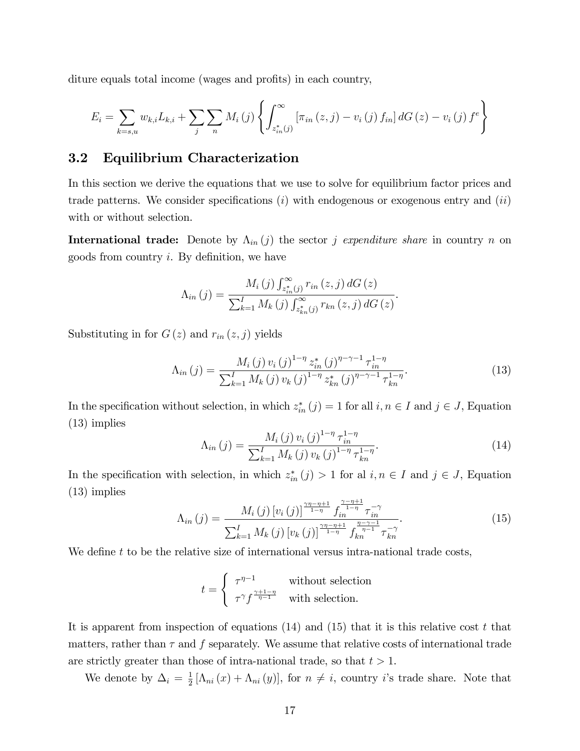diture equals total income (wages and profits) in each country,

$$
E_{i} = \sum_{k=s,u} w_{k,i} L_{k,i} + \sum_{j} \sum_{n} M_{i}(j) \left\{ \int_{z_{in}^{*}(j)}^{\infty} \left[ \pi_{in}(z,j) - v_{i}(j) f_{in} \right] dG(z) - v_{i}(j) f^{e} \right\}
$$

### 3.2 Equilibrium Characterization

In this section we derive the equations that we use to solve for equilibrium factor prices and trade patterns. We consider specifications  $(i)$  with endogenous or exogenous entry and  $(ii)$ with or without selection.

**International trade:** Denote by  $\Lambda_{in}(j)$  the sector j expenditure share in country n on goods from country  $i$ . By definition, we have

$$
\Lambda_{in}(j) = \frac{M_{i}(j) \int_{z_{in}^{*}(j)}^{\infty} r_{in}(z, j) dG(z)}{\sum_{k=1}^{I} M_{k}(j) \int_{z_{kn}^{*}(j)}^{\infty} r_{kn}(z, j) dG(z)}.
$$

Substituting in for  $G(z)$  and  $r_{in}(z, j)$  yields

$$
\Lambda_{in}(j) = \frac{M_i(j) v_i(j)^{1-\eta} z_{in}^*(j)^{\eta-\gamma-1} \tau_{in}^{1-\eta}}{\sum_{k=1}^I M_k(j) v_k(j)^{1-\eta} z_{kn}^*(j)^{\eta-\gamma-1} \tau_{kn}^{1-\eta}}.
$$
\n(13)

In the specification without selection, in which  $z_{in}^*(j) = 1$  for all  $i, n \in I$  and  $j \in J$ , Equation (13) implies

$$
\Lambda_{in}(j) = \frac{M_i(j) v_i(j)^{1-\eta} \tau_{in}^{1-\eta}}{\sum_{k=1}^{I} M_k(j) v_k(j)^{1-\eta} \tau_{kn}^{1-\eta}}.
$$
\n(14)

In the specification with selection, in which  $z_{in}^*(j) > 1$  for al  $i, n \in I$  and  $j \in J$ , Equation (13) implies

$$
\Lambda_{in}(j) = \frac{M_i(j) \left[ v_i(j) \right]^{\frac{\gamma \eta - \eta + 1}{1 - \eta}} f_{in}^{\frac{\gamma - \eta + 1}{1 - \eta}} \tau_{in}^{-\gamma}}{\sum_{k=1}^I M_k(j) \left[ v_k(j) \right]^{\frac{\gamma \eta - \eta + 1}{1 - \eta}} f_{kn}^{\frac{\eta - \gamma - 1}{\eta - 1}} \tau_{kn}^{-\gamma}}.
$$
\n(15)

We define  $t$  to be the relative size of international versus intra-national trade costs,

$$
t = \begin{cases} \tau^{\eta - 1} & \text{without selection} \\ \tau^{\gamma} f^{\frac{\gamma + 1 - \eta}{\eta - 1}} & \text{with selection.} \end{cases}
$$

It is apparent from inspection of equations  $(14)$  and  $(15)$  that it is this relative cost t that matters, rather than  $\tau$  and  $f$  separately. We assume that relative costs of international trade are strictly greater than those of intra-national trade, so that  $t > 1$ .

We denote by  $\Delta_i = \frac{1}{2}$  $\frac{1}{2} [\Lambda_{ni}(x) + \Lambda_{ni}(y)],$  for  $n \neq i$ , country *i*'s trade share. Note that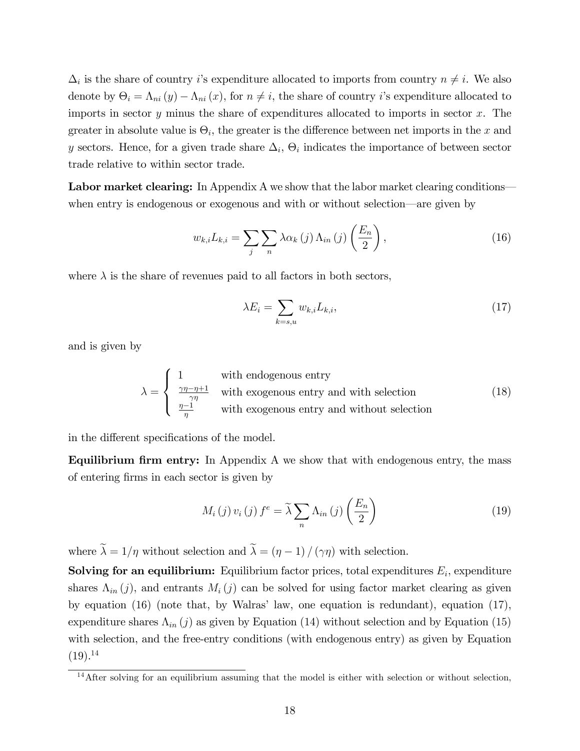$\Delta_i$  is the share of country *i*'s expenditure allocated to imports from country  $n \neq i$ . We also denote by  $\Theta_i = \Lambda_{ni} (y) - \Lambda_{ni} (x)$ , for  $n \neq i$ , the share of country *i*'s expenditure allocated to imports in sector  $y$  minus the share of expenditures allocated to imports in sector  $x$ . The greater in absolute value is  $\Theta_i$ , the greater is the difference between net imports in the x and y sectors. Hence, for a given trade share  $\Delta_i$ ,  $\Theta_i$  indicates the importance of between sector trade relative to within sector trade.

Labor market clearing: In Appendix A we show that the labor market clearing conditions when entry is endogenous or exogenous and with or without selection—are given by

$$
w_{k,i}L_{k,i} = \sum_{j} \sum_{n} \lambda \alpha_{k}(j) \Lambda_{in}(j) \left(\frac{E_{n}}{2}\right), \qquad (16)
$$

where  $\lambda$  is the share of revenues paid to all factors in both sectors,

$$
\lambda E_i = \sum_{k=s,u} w_{k,i} L_{k,i},\tag{17}
$$

and is given by

$$
\lambda = \begin{cases}\n1 & \text{with endogenous entry} \\
\frac{\gamma \eta - \eta + 1}{\gamma \eta} & \text{with exogenous entry and with selection} \\
\frac{\eta - 1}{\eta} & \text{with exogenous entry and without selection}\n\end{cases}
$$
\n(18)

in the different specifications of the model.

Equilibrium firm entry: In Appendix A we show that with endogenous entry, the mass of entering Örms in each sector is given by

$$
M_i(j) v_i(j) f^e = \tilde{\lambda} \sum_n \Lambda_{in}(j) \left(\frac{E_n}{2}\right)
$$
 (19)

where  $\tilde{\lambda} = 1/\eta$  without selection and  $\tilde{\lambda} = (\eta - 1)/(\gamma \eta)$  with selection.

**Solving for an equilibrium:** Equilibrium factor prices, total expenditures  $E_i$ , expenditure shares  $\Lambda_{in} (j)$ , and entrants  $M_i (j)$  can be solved for using factor market clearing as given by equation  $(16)$  (note that, by Walras' law, one equation is redundant), equation  $(17)$ , expenditure shares  $\Lambda_{in} (j)$  as given by Equation (14) without selection and by Equation (15) with selection, and the free-entry conditions (with endogenous entry) as given by Equation  $(19).^{14}$ 

<sup>&</sup>lt;sup>14</sup>After solving for an equilibrium assuming that the model is either with selection or without selection,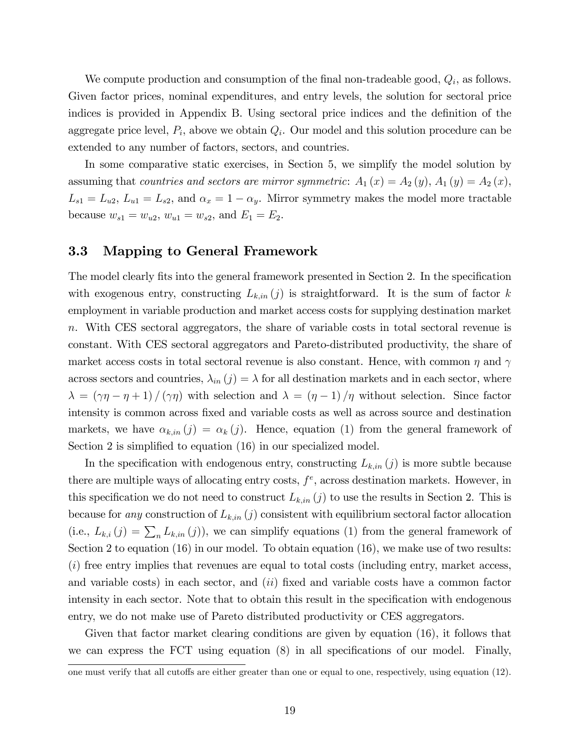We compute production and consumption of the final non-tradeable good,  $Q_i$ , as follows. Given factor prices, nominal expenditures, and entry levels, the solution for sectoral price indices is provided in Appendix B. Using sectoral price indices and the definition of the aggregate price level,  $P_i$ , above we obtain  $Q_i$ . Our model and this solution procedure can be extended to any number of factors, sectors, and countries.

In some comparative static exercises, in Section 5, we simplify the model solution by assuming that countries and sectors are mirror symmetric:  $A_1(x) = A_2(y), A_1(y) = A_2(x),$  $L_{s1} = L_{u2}, L_{u1} = L_{s2}$ , and  $\alpha_x = 1 - \alpha_y$ . Mirror symmetry makes the model more tractable because  $w_{s1} = w_{u2}, w_{u1} = w_{s2},$  and  $E_1 = E_2$ .

### 3.3 Mapping to General Framework

The model clearly fits into the general framework presented in Section 2. In the specification with exogenous entry, constructing  $L_{k,in}(j)$  is straightforward. It is the sum of factor k employment in variable production and market access costs for supplying destination market n. With CES sectoral aggregators, the share of variable costs in total sectoral revenue is constant. With CES sectoral aggregators and Pareto-distributed productivity, the share of market access costs in total sectoral revenue is also constant. Hence, with common  $\eta$  and  $\gamma$ across sectors and countries,  $\lambda_{in} (j) = \lambda$  for all destination markets and in each sector, where  $\lambda = (\gamma \eta - \eta + 1)/(\gamma \eta)$  with selection and  $\lambda = (\eta - 1)/\eta$  without selection. Since factor intensity is common across fixed and variable costs as well as across source and destination markets, we have  $\alpha_{k,in} (j) = \alpha_k (j)$ . Hence, equation (1) from the general framework of Section 2 is simplified to equation (16) in our specialized model.

In the specification with endogenous entry, constructing  $L_{k,in}(j)$  is more subtle because there are multiple ways of allocating entry costs,  $f^e$ , across destination markets. However, in this specification we do not need to construct  $L_{k,in}(j)$  to use the results in Section 2. This is because for any construction of  $L_{k,in}(j)$  consistent with equilibrium sectoral factor allocation (i.e.,  $L_{k,i}(j) = \sum_{n} L_{k,in}(j)$ ), we can simplify equations (1) from the general framework of Section 2 to equation (16) in our model. To obtain equation (16), we make use of two results: (i) free entry implies that revenues are equal to total costs (including entry, market access, and variable costs) in each sector, and  $(ii)$  fixed and variable costs have a common factor intensity in each sector. Note that to obtain this result in the specification with endogenous entry, we do not make use of Pareto distributed productivity or CES aggregators.

Given that factor market clearing conditions are given by equation (16), it follows that we can express the  $\text{FCT}$  using equation (8) in all specifications of our model. Finally,

one must verify that all cutoffs are either greater than one or equal to one, respectively, using equation (12).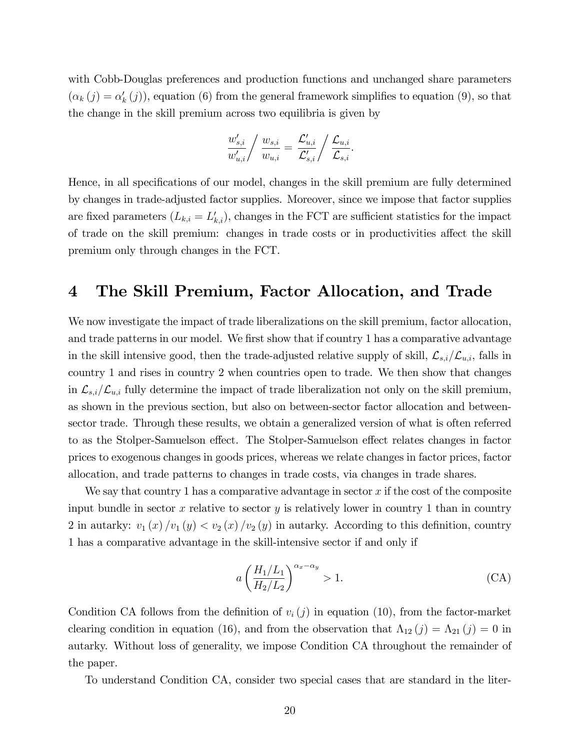with Cobb-Douglas preferences and production functions and unchanged share parameters  $(\alpha_k(j) = \alpha'_k(j))$ , equation (6) from the general framework simplifies to equation (9), so that the change in the skill premium across two equilibria is given by

$$
\frac{w'_{s,i}}{w'_{u,i}} / \frac{w_{s,i}}{w_{u,i}} = \frac{\mathcal{L}'_{u,i}}{\mathcal{L}'_{s,i}} / \frac{\mathcal{L}_{u,i}}{\mathcal{L}_{s,i}}.
$$

Hence, in all specifications of our model, changes in the skill premium are fully determined by changes in trade-adjusted factor supplies. Moreover, since we impose that factor supplies are fixed parameters  $(L_{k,i} = L'_{k,i})$ , changes in the FCT are sufficient statistics for the impact of trade on the skill premium: changes in trade costs or in productivities affect the skill premium only through changes in the FCT.

### 4 The Skill Premium, Factor Allocation, and Trade

We now investigate the impact of trade liberalizations on the skill premium, factor allocation, and trade patterns in our model. We first show that if country 1 has a comparative advantage in the skill intensive good, then the trade-adjusted relative supply of skill,  $\mathcal{L}_{s,i}/\mathcal{L}_{u,i}$ , falls in country 1 and rises in country 2 when countries open to trade. We then show that changes in  $\mathcal{L}_{s,i}/\mathcal{L}_{u,i}$  fully determine the impact of trade liberalization not only on the skill premium, as shown in the previous section, but also on between-sector factor allocation and betweensector trade. Through these results, we obtain a generalized version of what is often referred to as the Stolper-Samuelson effect. The Stolper-Samuelson effect relates changes in factor prices to exogenous changes in goods prices, whereas we relate changes in factor prices, factor allocation, and trade patterns to changes in trade costs, via changes in trade shares.

We say that country 1 has a comparative advantage in sector  $x$  if the cost of the composite input bundle in sector x relative to sector y is relatively lower in country 1 than in country 2 in autarky:  $v_1(x)/v_1(y) < v_2(x)/v_2(y)$  in autarky. According to this definition, country 1 has a comparative advantage in the skill-intensive sector if and only if

$$
a\left(\frac{H_1/L_1}{H_2/L_2}\right)^{\alpha_x - \alpha_y} > 1.
$$
\n(CA)

Condition CA follows from the definition of  $v_i(j)$  in equation (10), from the factor-market clearing condition in equation (16), and from the observation that  $\Lambda_{12} (j) = \Lambda_{21} (j) = 0$  in autarky. Without loss of generality, we impose Condition CA throughout the remainder of the paper.

To understand Condition CA, consider two special cases that are standard in the liter-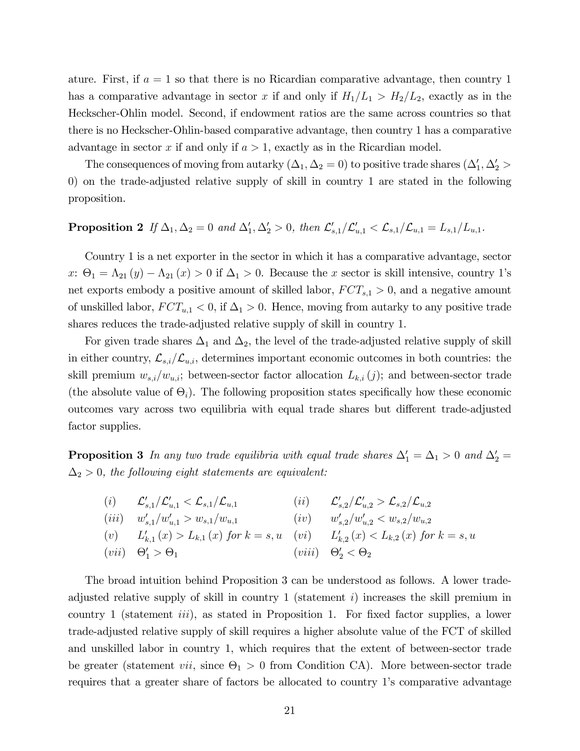ature. First, if  $a = 1$  so that there is no Ricardian comparative advantage, then country 1 has a comparative advantage in sector x if and only if  $H_1/L_1 > H_2/L_2$ , exactly as in the Heckscher-Ohlin model. Second, if endowment ratios are the same across countries so that there is no Heckscher-Ohlin-based comparative advantage, then country 1 has a comparative advantage in sector x if and only if  $a > 1$ , exactly as in the Ricardian model.

The consequences of moving from autarky  $(\Delta_1, \Delta_2 = 0)$  to positive trade shares  $(\Delta'_1, \Delta'_2 > 0)$ 0) on the trade-adjusted relative supply of skill in country 1 are stated in the following proposition.

### **Proposition 2** If  $\Delta_1, \Delta_2 = 0$  and  $\Delta'_1, \Delta'_2 > 0$ , then  $\mathcal{L}'_{s,1}/\mathcal{L}'_{u,1} < \mathcal{L}_{s,1}/\mathcal{L}_{u,1} = L_{s,1}/L_{u,1}$ .

Country 1 is a net exporter in the sector in which it has a comparative advantage, sector x:  $\Theta_1 = \Lambda_{21}(y) - \Lambda_{21}(x) > 0$  if  $\Delta_1 > 0$ . Because the x sector is skill intensive, country 1's net exports embody a positive amount of skilled labor,  $FCT_{s,1} > 0$ , and a negative amount of unskilled labor,  $FCT_{u,1} < 0$ , if  $\Delta_1 > 0$ . Hence, moving from autarky to any positive trade shares reduces the trade-adjusted relative supply of skill in country 1.

For given trade shares  $\Delta_1$  and  $\Delta_2$ , the level of the trade-adjusted relative supply of skill in either country,  $\mathcal{L}_{s,i}/\mathcal{L}_{u,i}$ , determines important economic outcomes in both countries: the skill premium  $w_{s,i}/w_{u,i}$ ; between-sector factor allocation  $L_{k,i} (j)$ ; and between-sector trade (the absolute value of  $\Theta_i$ ). The following proposition states specifically how these economic outcomes vary across two equilibria with equal trade shares but different trade-adjusted factor supplies.

**Proposition 3** In any two trade equilibria with equal trade shares  $\Delta'_1 = \Delta_1 > 0$  and  $\Delta'_2 =$  $\Delta_2 > 0,$  the following eight statements are equivalent:

(i) 
$$
\mathcal{L}'_{s,1}/\mathcal{L}'_{u,1} < \mathcal{L}_{s,1}/\mathcal{L}_{u,1}
$$
  
\n(ii)  $\mathcal{L}'_{s,2}/\mathcal{L}'_{u,2} > \mathcal{L}_{s,2}/\mathcal{L}_{u,2}$   
\n(iii)  $w'_{s,1}/w'_{u,1} > w_{s,1}/w_{u,1}$   
\n(iv)  $w'_{s,2}/w'_{u,2} < w_{s,2}/w_{u,2}$   
\n(v)  $L'_{k,1}(x) > L_{k,1}(x)$  for  $k = s, u$   
\n(vii)  $\Theta'_1 > \Theta_1$   
\n(viii)  $\Theta'_2 < \Theta_2$ 

The broad intuition behind Proposition 3 can be understood as follows. A lower tradeadjusted relative supply of skill in country 1 (statement i) increases the skill premium in country 1 (statement *iii*), as stated in Proposition 1. For fixed factor supplies, a lower trade-adjusted relative supply of skill requires a higher absolute value of the FCT of skilled and unskilled labor in country 1, which requires that the extent of between-sector trade be greater (statement *vii*, since  $\Theta_1 > 0$  from Condition CA). More between-sector trade requires that a greater share of factors be allocated to country 1's comparative advantage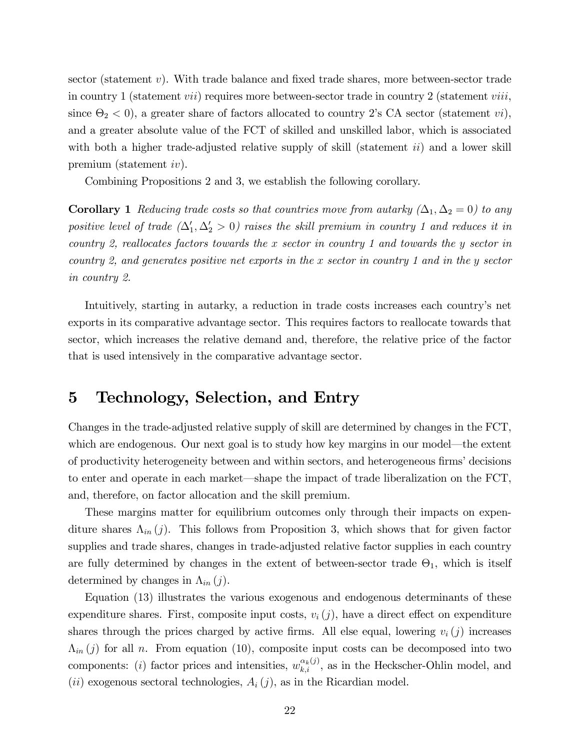sector (statement  $v$ ). With trade balance and fixed trade shares, more between-sector trade in country 1 (statement *vii*) requires more between-sector trade in country 2 (statement *viii*, since  $\Theta_2 < 0$ ), a greater share of factors allocated to country 2's CA sector (statement *vi*), and a greater absolute value of the FCT of skilled and unskilled labor, which is associated with both a higher trade-adjusted relative supply of skill (statement  $ii$ ) and a lower skill premium (statement iv).

Combining Propositions 2 and 3, we establish the following corollary.

**Corollary 1** Reducing trade costs so that countries move from autarky  $(\Delta_1, \Delta_2 = 0)$  to any positive level of trade  $(\Delta_1', \Delta_2' > 0)$  raises the skill premium in country 1 and reduces it in country 2, reallocates factors towards the x sector in country 1 and towards the y sector in country 2, and generates positive net exports in the x sector in country 1 and in the y sector in country 2.

Intuitively, starting in autarky, a reduction in trade costs increases each countryís net exports in its comparative advantage sector. This requires factors to reallocate towards that sector, which increases the relative demand and, therefore, the relative price of the factor that is used intensively in the comparative advantage sector.

### 5 Technology, Selection, and Entry

Changes in the trade-adjusted relative supply of skill are determined by changes in the FCT, which are endogenous. Our next goal is to study how key margins in our model—the extent of productivity heterogeneity between and within sectors, and heterogeneous firms' decisions to enter and operate in each market—shape the impact of trade liberalization on the FCT, and, therefore, on factor allocation and the skill premium.

These margins matter for equilibrium outcomes only through their impacts on expenditure shares  $\Lambda_{in} (j)$ . This follows from Proposition 3, which shows that for given factor supplies and trade shares, changes in trade-adjusted relative factor supplies in each country are fully determined by changes in the extent of between-sector trade  $\Theta_1$ , which is itself determined by changes in  $\Lambda_{in} (j)$ .

Equation (13) illustrates the various exogenous and endogenous determinants of these expenditure shares. First, composite input costs,  $v_i(j)$ , have a direct effect on expenditure shares through the prices charged by active firms. All else equal, lowering  $v_i(j)$  increases  $\Lambda_{in}(j)$  for all n. From equation (10), composite input costs can be decomposed into two components: (i) factor prices and intensities,  $w_{k,i}^{\alpha_k(j)}$ , as in the Heckscher-Ohlin model, and (*ii*) exogenous sectoral technologies,  $A_i(j)$ , as in the Ricardian model.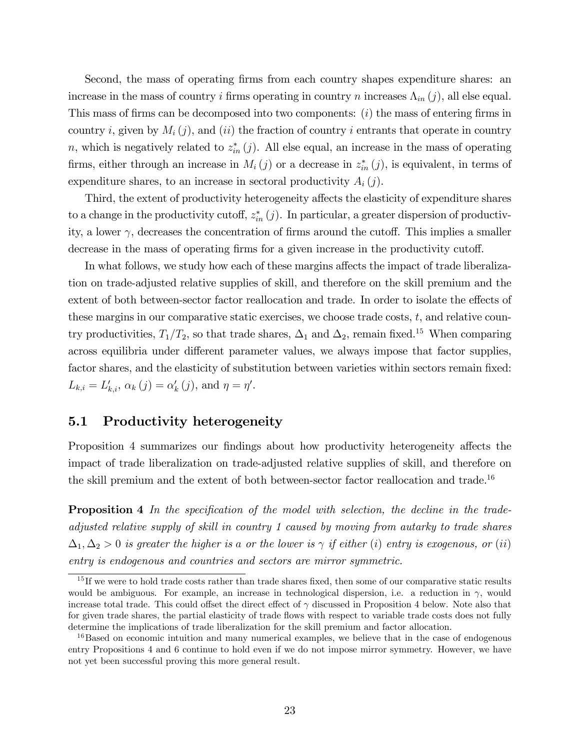Second, the mass of operating firms from each country shapes expenditure shares: an increase in the mass of country i firms operating in country n increases  $\Lambda_{in}(j)$ , all else equal. This mass of firms can be decomposed into two components:  $(i)$  the mass of entering firms in country i, given by  $M_i(j)$ , and *(ii)* the fraction of country i entrants that operate in country n, which is negatively related to  $z_{in}^*(j)$ . All else equal, an increase in the mass of operating firms, either through an increase in  $M_i(j)$  or a decrease in  $z_{in}^*(j)$ , is equivalent, in terms of expenditure shares, to an increase in sectoral productivity  $A_i(j)$ .

Third, the extent of productivity heterogeneity affects the elasticity of expenditure shares to a change in the productivity cutoff,  $z_{in}^*(j)$ . In particular, a greater dispersion of productivity, a lower  $\gamma$ , decreases the concentration of firms around the cutoff. This implies a smaller decrease in the mass of operating firms for a given increase in the productivity cutoff.

In what follows, we study how each of these margins affects the impact of trade liberalization on trade-adjusted relative supplies of skill, and therefore on the skill premium and the extent of both between-sector factor reallocation and trade. In order to isolate the effects of these margins in our comparative static exercises, we choose trade costs,  $t$ , and relative country productivities,  $T_1/T_2$ , so that trade shares,  $\Delta_1$  and  $\Delta_2$ , remain fixed.<sup>15</sup> When comparing across equilibria under different parameter values, we always impose that factor supplies, factor shares, and the elasticity of substitution between varieties within sectors remain fixed:  $L_{k,i} = L'_{k,i}, \, \alpha_k(j) = \alpha'_k(j), \text{ and } \eta = \eta'.$ 

### 5.1 Productivity heterogeneity

Proposition 4 summarizes our findings about how productivity heterogeneity affects the impact of trade liberalization on trade-adjusted relative supplies of skill, and therefore on the skill premium and the extent of both between-sector factor reallocation and trade.<sup>16</sup>

**Proposition 4** In the specification of the model with selection, the decline in the tradeadjusted relative supply of skill in country 1 caused by moving from autarky to trade shares  $\Delta_1, \Delta_2 > 0$  is greater the higher is a or the lower is  $\gamma$  if either (i) entry is exogenous, or (ii) entry is endogenous and countries and sectors are mirror symmetric.

 $15$  If we were to hold trade costs rather than trade shares fixed, then some of our comparative static results would be ambiguous. For example, an increase in technological dispersion, i.e. a reduction in  $\gamma$ , would increase total trade. This could offset the direct effect of  $\gamma$  discussed in Proposition 4 below. Note also that for given trade shares, the partial elasticity of trade flows with respect to variable trade costs does not fully determine the implications of trade liberalization for the skill premium and factor allocation.

<sup>&</sup>lt;sup>16</sup>Based on economic intuition and many numerical examples, we believe that in the case of endogenous entry Propositions 4 and 6 continue to hold even if we do not impose mirror symmetry. However, we have not yet been successful proving this more general result.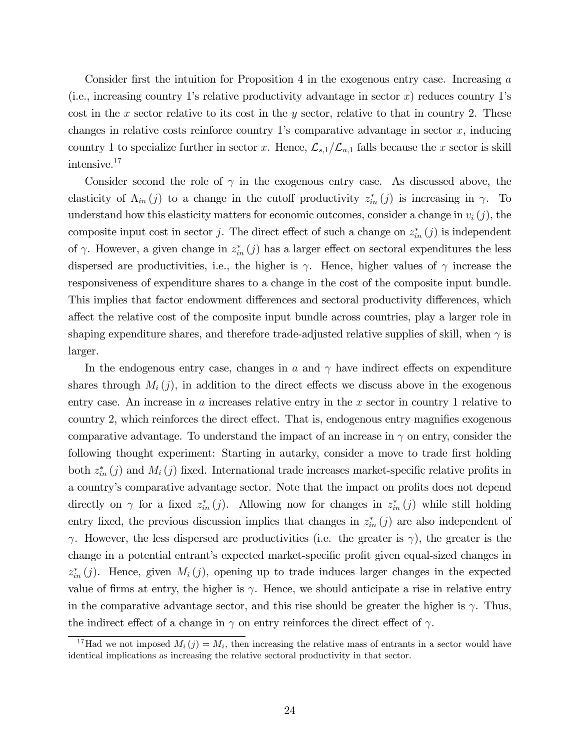Consider first the intuition for Proposition 4 in the exogenous entry case. Increasing  $a$ (i.e., increasing country 1's relative productivity advantage in sector  $x$ ) reduces country 1's cost in the x sector relative to its cost in the y sector, relative to that in country 2. These changes in relative costs reinforce country 1's comparative advantage in sector  $x$ , inducing country 1 to specialize further in sector x. Hence,  $\mathcal{L}_{s,1}/\mathcal{L}_{u,1}$  falls because the x sector is skill intensive.<sup>17</sup>

Consider second the role of  $\gamma$  in the exogenous entry case. As discussed above, the elasticity of  $\Lambda_{in}(j)$  to a change in the cutoff productivity  $z_{in}^{*}(j)$  is increasing in  $\gamma$ . To understand how this elasticity matters for economic outcomes, consider a change in  $v_i(j)$ , the composite input cost in sector j. The direct effect of such a change on  $z_{in}^*(j)$  is independent of  $\gamma$ . However, a given change in  $z_{in}^*(j)$  has a larger effect on sectoral expenditures the less dispersed are productivities, i.e., the higher is  $\gamma$ . Hence, higher values of  $\gamma$  increase the responsiveness of expenditure shares to a change in the cost of the composite input bundle. This implies that factor endowment differences and sectoral productivity differences, which affect the relative cost of the composite input bundle across countries, play a larger role in shaping expenditure shares, and therefore trade-adjusted relative supplies of skill, when  $\gamma$  is larger.

In the endogenous entry case, changes in a and  $\gamma$  have indirect effects on expenditure shares through  $M_i(j)$ , in addition to the direct effects we discuss above in the exogenous entry case. An increase in a increases relative entry in the x sector in country 1 relative to country 2, which reinforces the direct effect. That is, endogenous entry magnifies exogenous comparative advantage. To understand the impact of an increase in  $\gamma$  on entry, consider the following thought experiment: Starting in autarky, consider a move to trade first holding both  $z_{in}^*(j)$  and  $M_i(j)$  fixed. International trade increases market-specific relative profits in a country's comparative advantage sector. Note that the impact on profits does not depend directly on  $\gamma$  for a fixed  $z_{in}^*(j)$ . Allowing now for changes in  $z_{in}^*(j)$  while still holding entry fixed, the previous discussion implies that changes in  $z_{in}^*(j)$  are also independent of  $\gamma$ . However, the less dispersed are productivities (i.e. the greater is  $\gamma$ ), the greater is the change in a potential entrant's expected market-specific profit given equal-sized changes in  $z_{in}^*(j)$ . Hence, given  $M_i(j)$ , opening up to trade induces larger changes in the expected value of firms at entry, the higher is  $\gamma$ . Hence, we should anticipate a rise in relative entry in the comparative advantage sector, and this rise should be greater the higher is  $\gamma$ . Thus, the indirect effect of a change in  $\gamma$  on entry reinforces the direct effect of  $\gamma$ .

<sup>&</sup>lt;sup>17</sup>Had we not imposed  $M_i(j) = M_i$ , then increasing the relative mass of entrants in a sector would have identical implications as increasing the relative sectoral productivity in that sector.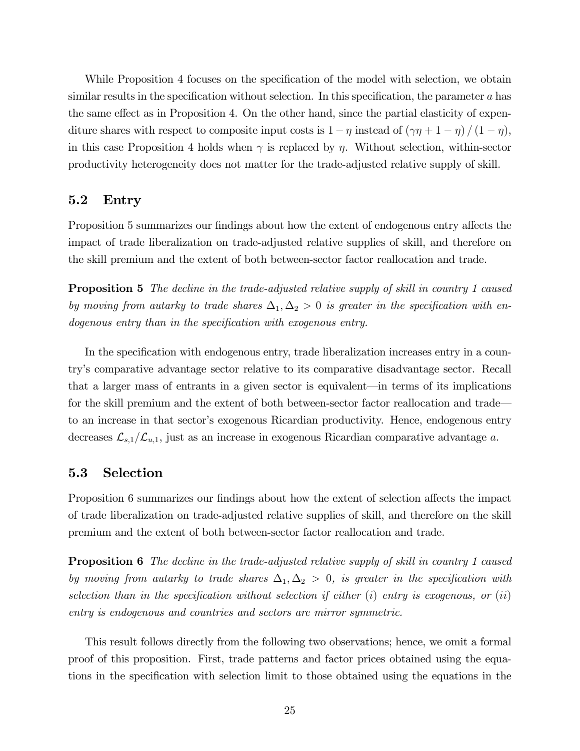While Proposition 4 focuses on the specification of the model with selection, we obtain similar results in the specification without selection. In this specification, the parameter  $a$  has the same effect as in Proposition 4. On the other hand, since the partial elasticity of expenditure shares with respect to composite input costs is  $1 - \eta$  instead of  $(\gamma \eta + 1 - \eta) / (1 - \eta)$ , in this case Proposition 4 holds when  $\gamma$  is replaced by  $\eta$ . Without selection, within-sector productivity heterogeneity does not matter for the trade-adjusted relative supply of skill.

#### 5.2 Entry

Proposition 5 summarizes our findings about how the extent of endogenous entry affects the impact of trade liberalization on trade-adjusted relative supplies of skill, and therefore on the skill premium and the extent of both between-sector factor reallocation and trade.

**Proposition 5** The decline in the trade-adjusted relative supply of skill in country 1 caused by moving from autarky to trade shares  $\Delta_1, \Delta_2 > 0$  is greater in the specification with endogenous entry than in the specification with exogenous entry.

In the specification with endogenous entry, trade liberalization increases entry in a countryís comparative advantage sector relative to its comparative disadvantage sector. Recall that a larger mass of entrants in a given sector is equivalent—in terms of its implications for the skill premium and the extent of both between-sector factor reallocation and trade to an increase in that sector's exogenous Ricardian productivity. Hence, endogenous entry decreases  $\mathcal{L}_{s,1}/\mathcal{L}_{u,1}$ , just as an increase in exogenous Ricardian comparative advantage a.

### 5.3 Selection

Proposition 6 summarizes our findings about how the extent of selection affects the impact of trade liberalization on trade-adjusted relative supplies of skill, and therefore on the skill premium and the extent of both between-sector factor reallocation and trade.

**Proposition 6** The decline in the trade-adjusted relative supply of skill in country 1 caused by moving from autarky to trade shares  $\Delta_1, \Delta_2 > 0$ , is greater in the specification with selection than in the specification without selection if either  $(i)$  entry is exogenous, or  $(ii)$ entry is endogenous and countries and sectors are mirror symmetric.

This result follows directly from the following two observations; hence, we omit a formal proof of this proposition. First, trade patterns and factor prices obtained using the equations in the speciÖcation with selection limit to those obtained using the equations in the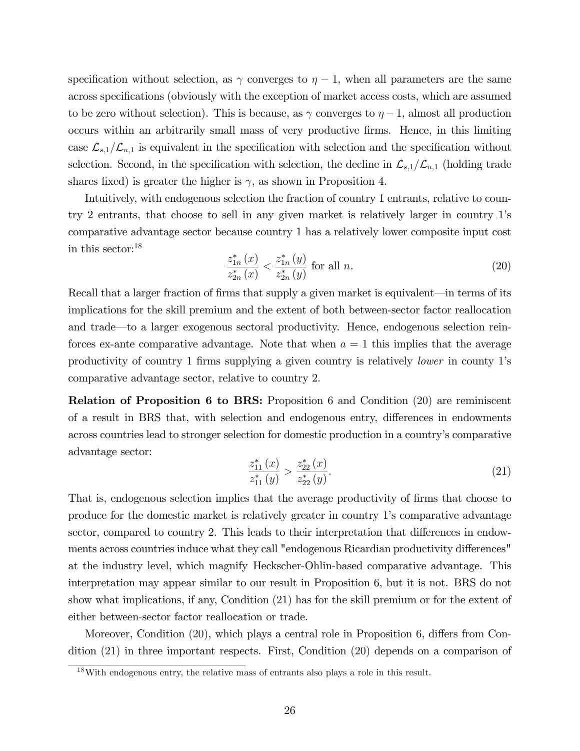specification without selection, as  $\gamma$  converges to  $\eta - 1$ , when all parameters are the same across specifications (obviously with the exception of market access costs, which are assumed to be zero without selection). This is because, as  $\gamma$  converges to  $\eta - 1$ , almost all production occurs within an arbitrarily small mass of very productive Örms. Hence, in this limiting case  $\mathcal{L}_{s,1}/\mathcal{L}_{u,1}$  is equivalent in the specification with selection and the specification without selection. Second, in the specification with selection, the decline in  $\mathcal{L}_{s,1}/\mathcal{L}_{u,1}$  (holding trade shares fixed) is greater the higher is  $\gamma$ , as shown in Proposition 4.

Intuitively, with endogenous selection the fraction of country 1 entrants, relative to country 2 entrants, that choose to sell in any given market is relatively larger in country 1ís comparative advantage sector because country 1 has a relatively lower composite input cost in this sector:<sup>18</sup>

$$
\frac{z_{1n}^*(x)}{z_{2n}^*(x)} < \frac{z_{1n}^*(y)}{z_{2n}^*(y)} \text{ for all } n. \tag{20}
$$

Recall that a larger fraction of firms that supply a given market is equivalent—in terms of its implications for the skill premium and the extent of both between-sector factor reallocation and trade—to a larger exogenous sectoral productivity. Hence, endogenous selection reinforces ex-ante comparative advantage. Note that when  $a = 1$  this implies that the average productivity of country 1 firms supplying a given country is relatively *lower* in county 1's comparative advantage sector, relative to country 2.

Relation of Proposition 6 to BRS: Proposition 6 and Condition (20) are reminiscent of a result in BRS that, with selection and endogenous entry, differences in endowments across countries lead to stronger selection for domestic production in a countryís comparative advantage sector:

$$
\frac{z_{11}^*(x)}{z_{11}^*(y)} > \frac{z_{22}^*(x)}{z_{22}^*(y)}.\tag{21}
$$

That is, endogenous selection implies that the average productivity of firms that choose to produce for the domestic market is relatively greater in country 1ís comparative advantage sector, compared to country 2. This leads to their interpretation that differences in endowments across countries induce what they call "endogenous Ricardian productivity differences" at the industry level, which magnify Heckscher-Ohlin-based comparative advantage. This interpretation may appear similar to our result in Proposition 6, but it is not. BRS do not show what implications, if any, Condition (21) has for the skill premium or for the extent of either between-sector factor reallocation or trade.

Moreover, Condition (20), which plays a central role in Proposition 6, differs from Condition (21) in three important respects. First, Condition (20) depends on a comparison of

<sup>18</sup>With endogenous entry, the relative mass of entrants also plays a role in this result.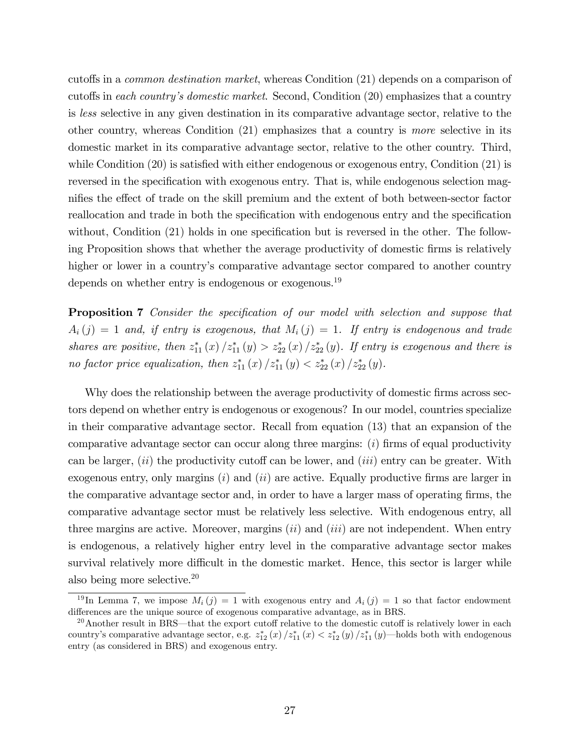cutoffs in a *common destination market*, whereas Condition (21) depends on a comparison of cutoffs in each country's domestic market. Second, Condition  $(20)$  emphasizes that a country is less selective in any given destination in its comparative advantage sector, relative to the other country, whereas Condition (21) emphasizes that a country is more selective in its domestic market in its comparative advantage sector, relative to the other country. Third, while Condition  $(20)$  is satisfied with either endogenous or exogenous entry, Condition  $(21)$  is reversed in the specification with exogenous entry. That is, while endogenous selection magnifies the effect of trade on the skill premium and the extent of both between-sector factor reallocation and trade in both the specification with endogenous entry and the specification without, Condition  $(21)$  holds in one specification but is reversed in the other. The following Proposition shows that whether the average productivity of domestic Örms is relatively higher or lower in a country's comparative advantage sector compared to another country depends on whether entry is endogenous or exogenous.<sup>19</sup>

**Proposition 7** Consider the specification of our model with selection and suppose that  $A_i(j) = 1$  and, if entry is exogenous, that  $M_i(j) = 1$ . If entry is endogenous and trade shares are positive, then  $z_{11}^*(x)/z_{11}^*(y) > z_{22}^*(x)/z_{22}^*(y)$ . If entry is exogenous and there is no factor price equalization, then  $z_{11}^*(x)/z_{11}^*(y) < z_{22}^*(x)/z_{22}^*(y)$ .

Why does the relationship between the average productivity of domestic firms across sectors depend on whether entry is endogenous or exogenous? In our model, countries specialize in their comparative advantage sector. Recall from equation (13) that an expansion of the comparative advantage sector can occur along three margins:  $(i)$  firms of equal productivity can be larger,  $(ii)$  the productivity cutoff can be lower, and  $(iii)$  entry can be greater. With exogenous entry, only margins  $(i)$  and  $(ii)$  are active. Equally productive firms are larger in the comparative advantage sector and, in order to have a larger mass of operating firms, the comparative advantage sector must be relatively less selective. With endogenous entry, all three margins are active. Moreover, margins  $(ii)$  and  $(iii)$  are not independent. When entry is endogenous, a relatively higher entry level in the comparative advantage sector makes survival relatively more difficult in the domestic market. Hence, this sector is larger while also being more selective.<sup>20</sup>

 $19 \text{In Lemma 7, we impose } M_i(j) = 1 \text{ with exogenous entry and } A_i(j) = 1 \text{ so that factor endowment.}$ differences are the unique source of exogenous comparative advantage, as in BRS.

 $^{20}$ Another result in BRS—that the export cutoff relative to the domestic cutoff is relatively lower in each country's comparative advantage sector, e.g.  $z_{12}^*(x)/z_{11}^*(x) < z_{12}^*(y)/z_{11}^*(y)$ —holds both with endogenous entry (as considered in BRS) and exogenous entry.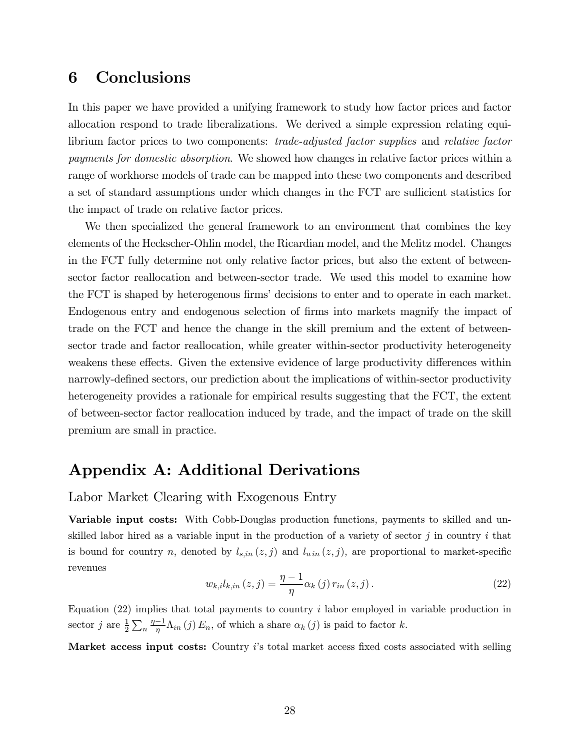# 6 Conclusions

In this paper we have provided a unifying framework to study how factor prices and factor allocation respond to trade liberalizations. We derived a simple expression relating equilibrium factor prices to two components: trade-adjusted factor supplies and relative factor payments for domestic absorption. We showed how changes in relative factor prices within a range of workhorse models of trade can be mapped into these two components and described a set of standard assumptions under which changes in the FCT are sufficient statistics for the impact of trade on relative factor prices.

We then specialized the general framework to an environment that combines the key elements of the Heckscher-Ohlin model, the Ricardian model, and the Melitz model. Changes in the FCT fully determine not only relative factor prices, but also the extent of betweensector factor reallocation and between-sector trade. We used this model to examine how the FCT is shaped by heterogenous firms' decisions to enter and to operate in each market. Endogenous entry and endogenous selection of firms into markets magnify the impact of trade on the FCT and hence the change in the skill premium and the extent of betweensector trade and factor reallocation, while greater within-sector productivity heterogeneity weakens these effects. Given the extensive evidence of large productivity differences within narrowly-defined sectors, our prediction about the implications of within-sector productivity heterogeneity provides a rationale for empirical results suggesting that the FCT, the extent of between-sector factor reallocation induced by trade, and the impact of trade on the skill premium are small in practice.

# Appendix A: Additional Derivations

### Labor Market Clearing with Exogenous Entry

Variable input costs: With Cobb-Douglas production functions, payments to skilled and unskilled labor hired as a variable input in the production of a variety of sector  $j$  in country  $i$  that is bound for country n, denoted by  $l_{s,in}(z, j)$  and  $l_{u,in}(z, j)$ , are proportional to market-specific revenues

$$
w_{k,i}l_{k,in}(z,j) = \frac{\eta - 1}{\eta} \alpha_k(j) r_{in}(z,j).
$$
\n(22)

Equation  $(22)$  implies that total payments to country i labor employed in variable production in sector j are  $\frac{1}{2}\sum_{n}\frac{\eta-1}{\eta}\Lambda_{in}(j) E_n$ , of which a share  $\alpha_k(j)$  is paid to factor k.

Market access input costs: Country is total market access fixed costs associated with selling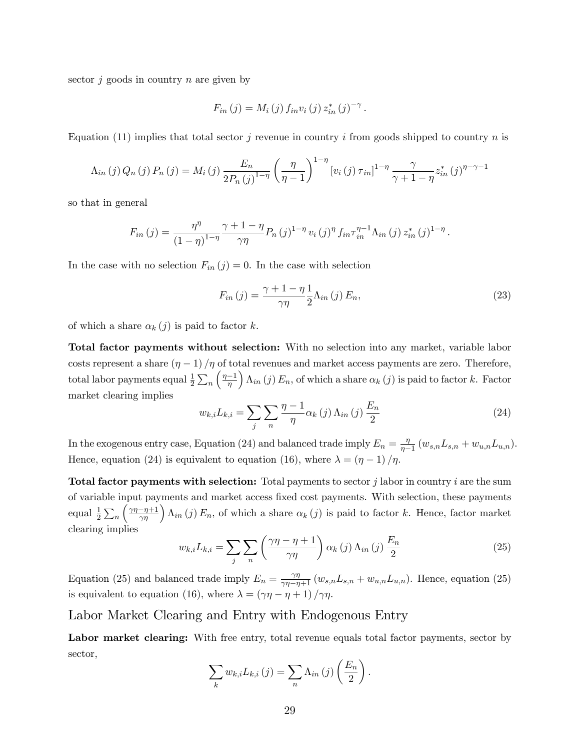sector  $i$  goods in country n are given by

$$
F_{in}(j) = M_i(j) f_{in} v_i(j) z_{in}^*(j)^{-\gamma}.
$$

Equation (11) implies that total sector j revenue in country i from goods shipped to country n is

$$
\Lambda_{in}(j) Q_n(j) P_n(j) = M_i(j) \frac{E_n}{2P_n(j)^{1-\eta}} \left(\frac{\eta}{\eta-1}\right)^{1-\eta} \left[v_i(j) \tau_{in}\right]^{1-\eta} \frac{\gamma}{\gamma+1-\eta} z_{in}^*(j)^{\eta-\gamma-1}
$$

so that in general

$$
F_{in}(j) = \frac{\eta^{\eta}}{(1-\eta)^{1-\eta}} \frac{\gamma+1-\eta}{\gamma\eta} P_n(j)^{1-\eta} v_i(j)^{\eta} f_{in} \tau_{in}^{\eta-1} \Lambda_{in}(j) z_{in}^*(j)^{1-\eta}.
$$

In the case with no selection  $F_{in}(j) = 0$ . In the case with selection

$$
F_{in}(j) = \frac{\gamma + 1 - \eta}{\gamma \eta} \frac{1}{2} \Lambda_{in}(j) E_n,
$$
\n(23)

of which a share  $\alpha_k (j)$  is paid to factor k.

Total factor payments without selection: With no selection into any market, variable labor costs represent a share  $(\eta - 1)/\eta$  of total revenues and market access payments are zero. Therefore, total labor payments equal  $\frac{1}{2} \sum_n$  $\left(\frac{\eta-1}{\eta}\right)$  $i\Lambda_{in}$  (j)  $E_n$ , of which a share  $\alpha_k$  (j) is paid to factor k. Factor market clearing implies

$$
w_{k,i}L_{k,i} = \sum_{j} \sum_{n} \frac{\eta - 1}{\eta} \alpha_k(j) \Lambda_{in}(j) \frac{E_n}{2}
$$
 (24)

In the exogenous entry case, Equation (24) and balanced trade imply  $E_n = \frac{\eta}{n-1}$  $\frac{\eta}{\eta-1}(w_{s,n}L_{s,n}+w_{u,n}L_{u,n}).$ Hence, equation (24) is equivalent to equation (16), where  $\lambda = \left(\eta - 1\right)/\eta$ .

**Total factor payments with selection:** Total payments to sector  $j$  labor in country  $i$  are the sum of variable input payments and market access Öxed cost payments. With selection, these payments equal  $\frac{1}{2}\sum_n$  $\left(\frac{\gamma\eta-\eta+1}{\gamma\eta}\right)\Lambda_{in}(j) E_n$ , of which a share  $\alpha_k(j)$  is paid to factor k. Hence, factor market clearing implies

$$
w_{k,i}L_{k,i} = \sum_{j} \sum_{n} \left(\frac{\gamma\eta - \eta + 1}{\gamma\eta}\right) \alpha_{k}(j) \Lambda_{in}(j) \frac{E_{n}}{2}
$$
(25)

Equation (25) and balanced trade imply  $E_n = \frac{\gamma \eta}{\gamma \eta - \eta + 1} (w_{s,n} L_{s,n} + w_{u,n} L_{u,n})$ . Hence, equation (25) is equivalent to equation (16), where  $\lambda = (\gamma \eta - \eta + 1) / \gamma \eta$ .

#### Labor Market Clearing and Entry with Endogenous Entry

Labor market clearing: With free entry, total revenue equals total factor payments, sector by sector,

$$
\sum_{k} w_{k,i} L_{k,i}(j) = \sum_{n} \Lambda_{in}(j) \left( \frac{E_n}{2} \right).
$$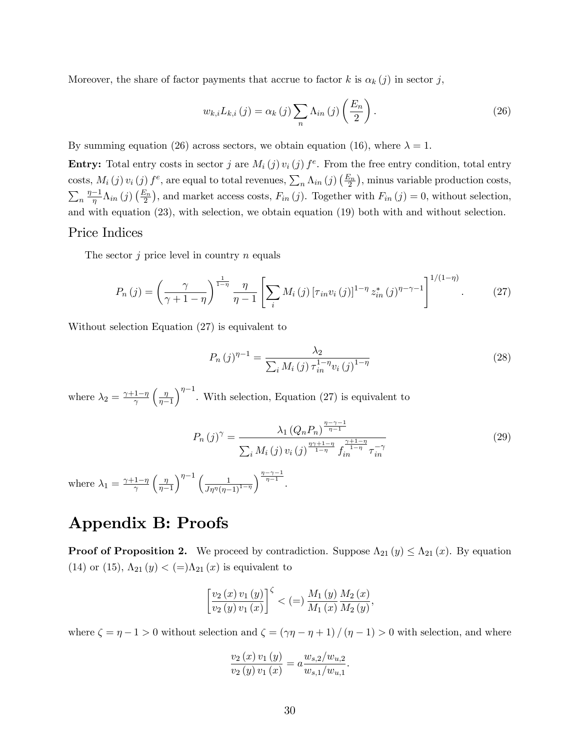Moreover, the share of factor payments that accrue to factor k is  $\alpha_k (j)$  in sector j,

$$
w_{k,i}L_{k,i}(j) = \alpha_k(j) \sum_{n} \Lambda_{in}(j) \left(\frac{E_n}{2}\right).
$$
 (26)

By summing equation (26) across sectors, we obtain equation (16), where  $\lambda = 1$ .

**Entry:** Total entry costs in sector j are  $M_i(j) v_i(j) f^e$ . From the free entry condition, total entry costs,  $M_i(j) v_i(j) f^e$ , are equal to total revenues,  $\sum_n \Lambda_{in}(j) \left(\frac{E_n}{2}\right)$ , minus variable production costs,  $\sum_{n} \frac{\eta-1}{\eta} \Lambda_{in}(j) \left(\frac{E_n}{2}\right)$ , and market access costs,  $F_{in}(j)$ . Together with  $F_{in}(j) = 0$ , without selection, and with equation (23), with selection, we obtain equation (19) both with and without selection.

#### Price Indices

The sector  $j$  price level in country  $n$  equals

$$
P_n(j) = \left(\frac{\gamma}{\gamma + 1 - \eta}\right)^{\frac{1}{1 - \eta}} \frac{\eta}{\eta - 1} \left[ \sum_i M_i(j) \left[ \tau_{in} v_i(j) \right]^{1 - \eta} z_{in}^*(j)^{\eta - \gamma - 1} \right]^{1/(1 - \eta)}.
$$
 (27)

Without selection Equation (27) is equivalent to

$$
P_n(j)^{\eta-1} = \frac{\lambda_2}{\sum_i M_i(j) \tau_{in}^{1-\eta} v_i(j)^{1-\eta}}
$$
\n(28)

where  $\lambda_2 = \frac{\gamma + 1 - \eta}{\gamma}$  $\int \eta$  $\eta-1$  $\int_{0}^{\eta-1}$ . With selection, Equation (27) is equivalent to

$$
P_n(j)^{\gamma} = \frac{\lambda_1 (Q_n P_n)^{\frac{\eta - \gamma - 1}{\eta - 1}}}{\sum_i M_i(j) v_i(j)^{\frac{\eta \gamma + 1 - \eta}{1 - \eta}} f_{in}^{\frac{\gamma + 1 - \eta}{1 - \eta}} \tau_{in}^{-\gamma}}
$$
(29)

where  $\lambda_1 = \frac{\gamma + 1 - \eta}{\gamma}$  $\int \eta$  $\overline{\eta-1}$  $\int^{\eta-1} \left( \frac{1}{J\eta^{\eta}(\eta-1)^{1-\eta}} \right)$  $\int^{\frac{\eta-\gamma-1}{\eta-1}}$ .

# Appendix B: Proofs

**Proof of Proposition 2.** We proceed by contradiction. Suppose  $\Lambda_{21}(y) \leq \Lambda_{21}(x)$ . By equation (14) or (15),  $\Lambda_{21} (y) < (=\) \Lambda_{21} (x)$  is equivalent to

$$
\left[\frac{v_{2}(x) v_{1}(y)}{v_{2}(y) v_{1}(x)}\right]^{\zeta} < (=\frac{M_{1}(y)}{M_{1}(x)} \frac{M_{2}(x)}{M_{2}(y)},
$$

where  $\zeta = \eta - 1 > 0$  without selection and  $\zeta = (\gamma \eta - \eta + 1) / (\eta - 1) > 0$  with selection, and where

$$
\frac{v_2(x) v_1(y)}{v_2(y) v_1(x)} = a \frac{w_{s,2}/w_{u,2}}{w_{s,1}/w_{u,1}}.
$$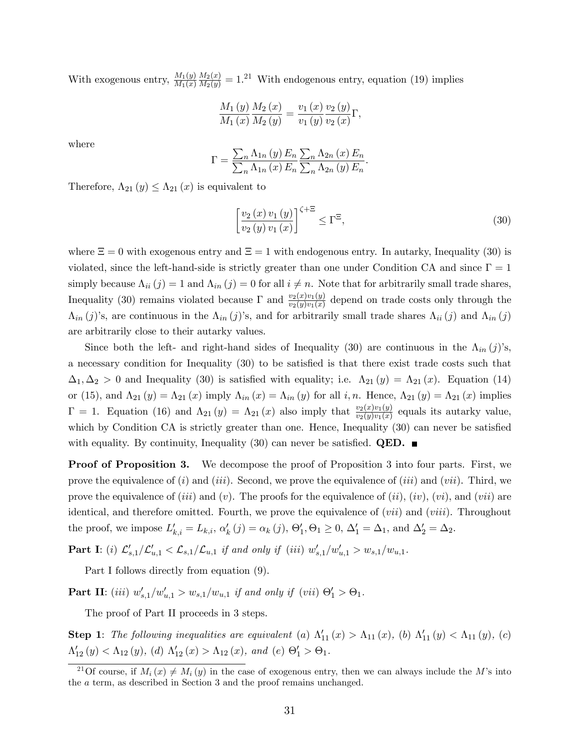With exogenous entry,  $\frac{M_1(y)}{M_1(x)}$  $\frac{M_2(x)}{M_2(y)} = 1.^{21}$  With endogenous entry, equation (19) implies

$$
\frac{M_{1}\left(y\right)}{M_{1}\left(x\right)}\frac{M_{2}\left(x\right)}{M_{2}\left(y\right)}=\frac{v_{1}\left(x\right)}{v_{1}\left(y\right)}\frac{v_{2}\left(y\right)}{v_{2}\left(x\right)}\Gamma,
$$

where

$$
\Gamma = \frac{\sum_{n} \Lambda_{1n} (y) E_n}{\sum_{n} \Lambda_{1n} (x) E_n} \frac{\sum_{n} \Lambda_{2n} (x) E_n}{\sum_{n} \Lambda_{2n} (y) E_n}
$$

Therefore,  $\Lambda_{21} (y) \leq \Lambda_{21} (x)$  is equivalent to

$$
\left[\frac{v_2(x)v_1(y)}{v_2(y)v_1(x)}\right]^{\zeta+\Xi} \le \Gamma^{\Xi},\tag{30}
$$

.

where  $\Xi = 0$  with exogenous entry and  $\Xi = 1$  with endogenous entry. In autarky, Inequality (30) is violated, since the left-hand-side is strictly greater than one under Condition CA and since  $\Gamma = 1$ simply because  $\Lambda_{ii} (j) = 1$  and  $\Lambda_{in} (j) = 0$  for all  $i \neq n$ . Note that for arbitrarily small trade shares, Inequality (30) remains violated because  $\Gamma$  and  $\frac{v_2(x)v_1(y)}{v_2(y)v_1(x)}$  depend on trade costs only through the  $\Lambda_{in} (j)$ 's, are continuous in the  $\Lambda_{in} (j)$ 's, and for arbitrarily small trade shares  $\Lambda_{ii} (j)$  and  $\Lambda_{in} (j)$ are arbitrarily close to their autarky values.

Since both the left- and right-hand sides of Inequality (30) are continuous in the  $\Lambda_{in} (j)$ 's, a necessary condition for Inequality (30) to be satisfied is that there exist trade costs such that  $\Delta_1, \Delta_2 > 0$  and Inequality (30) is satisfied with equality; i.e.  $\Lambda_{21}(y) = \Lambda_{21}(x)$ . Equation (14) or (15), and  $\Lambda_{21}(y) = \Lambda_{21}(x)$  imply  $\Lambda_{in}(x) = \Lambda_{in}(y)$  for all i, n. Hence,  $\Lambda_{21}(y) = \Lambda_{21}(x)$  implies  $\Gamma = 1$ . Equation (16) and  $\Lambda_{21}(y) = \Lambda_{21}(x)$  also imply that  $\frac{v_2(x)v_1(y)}{v_2(y)v_1(x)}$  equals its autarky value, which by Condition CA is strictly greater than one. Hence, Inequality  $(30)$  can never be satisfied with equality. By continuity, Inequality (30) can never be satisfied. **QED.** 

**Proof of Proposition 3.** We decompose the proof of Proposition 3 into four parts. First, we prove the equivalence of  $(i)$  and  $(iii)$ . Second, we prove the equivalence of  $(iii)$  and  $(vii)$ . Third, we prove the equivalence of (iii) and (v). The proofs for the equivalence of  $(ii)$ ,  $(iv)$ ,  $(vi)$ , and  $(vii)$  are identical, and therefore omitted. Fourth, we prove the equivalence of  $(vii)$  and  $(viii)$ . Throughout the proof, we impose  $L'_{k,i} = L_{k,i}$ ,  $\alpha'_k(j) = \alpha_k(j)$ ,  $\Theta'_1$ ,  $\Theta_1 \geq 0$ ,  $\Delta'_1 = \Delta_1$ , and  $\Delta'_2 = \Delta_2$ .

**Part I**: (i)  $\mathcal{L}'_{s,1}/\mathcal{L}'_{u,1} < \mathcal{L}_{s,1}/\mathcal{L}_{u,1}$  if and only if (iii)  $w'_{s,1}/w'_{u,1} > w_{s,1}/w_{u,1}$ .

Part I follows directly from equation (9).

**Part II**: (iii)  $w'_{s,1}/w'_{u,1} > w_{s,1}/w_{u,1}$  if and only if (vii)  $\Theta'_1 > \Theta_1$ .

The proof of Part II proceeds in 3 steps.

**Step 1**: The following inequalities are equivalent (a)  $\Lambda'_{11}(x) > \Lambda_{11}(x)$ , (b)  $\Lambda'_{11}(y) < \Lambda_{11}(y)$ , (c)  $\Lambda'_{12}(y) < \Lambda_{12}(y)$ , (d)  $\Lambda'_{12}(x) > \Lambda_{12}(x)$ , and (e)  $\Theta'_1 > \Theta_1$ .

<sup>&</sup>lt;sup>21</sup>Of course, if  $M_i(x) \neq M_i(y)$  in the case of exogenous entry, then we can always include the M's into the a term, as described in Section 3 and the proof remains unchanged.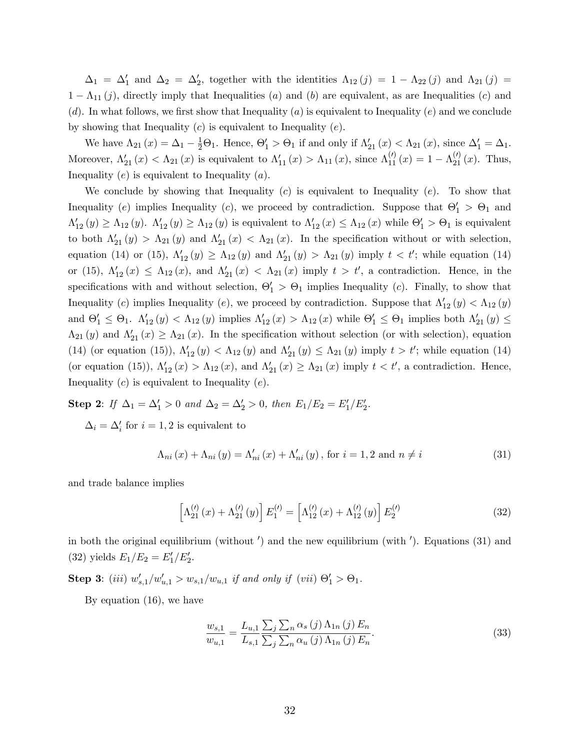$\Delta_1 = \Delta'_1$  and  $\Delta_2 = \Delta'_2$ , together with the identities  $\Lambda_{12}(j) = 1 - \Lambda_{22}(j)$  and  $\Lambda_{21}(j) =$  $1 - \Lambda_{11}(j)$ , directly imply that Inequalities (a) and (b) are equivalent, as are Inequalities (c) and  $(d)$ . In what follows, we first show that Inequality  $(a)$  is equivalent to Inequality  $(e)$  and we conclude by showing that Inequality  $(c)$  is equivalent to Inequality  $(e)$ .

We have  $\Lambda_{21}(x) = \Delta_1 - \frac{1}{2}\Theta_1$ . Hence,  $\Theta'_1 > \Theta_1$  if and only if  $\Lambda'_{21}(x) < \Lambda_{21}(x)$ , since  $\Delta'_1 = \Delta_1$ . Moreover,  $\Lambda'_{21}(x) < \Lambda_{21}(x)$  is equivalent to  $\Lambda'_{11}(x) > \Lambda_{11}(x)$ , since  $\Lambda_{11}^{(\prime)}(x) = 1 - \Lambda_{21}^{(\prime)}(x)$ . Thus, Inequality  $(e)$  is equivalent to Inequality  $(a)$ .

We conclude by showing that Inequality  $(c)$  is equivalent to Inequality  $(e)$ . To show that Inequality (e) implies Inequality (c), we proceed by contradiction. Suppose that  $\Theta'_1 > \Theta_1$  and  $\Lambda'_{12}(y) \geq \Lambda_{12}(y)$ .  $\Lambda'_{12}(y) \geq \Lambda_{12}(y)$  is equivalent to  $\Lambda'_{12}(x) \leq \Lambda_{12}(x)$  while  $\Theta'_{1} > \Theta_{1}$  is equivalent to both  $\Lambda'_{21}(y) > \Lambda_{21}(y)$  and  $\Lambda'_{21}(x) < \Lambda_{21}(x)$ . In the specification without or with selection, equation (14) or (15),  $\Lambda'_{12}(y) \ge \Lambda_{12}(y)$  and  $\Lambda'_{21}(y) > \Lambda_{21}(y)$  imply  $t < t'$ ; while equation (14) or (15),  $\Lambda'_{12}(x) \leq \Lambda_{12}(x)$ , and  $\Lambda'_{21}(x) < \Lambda_{21}(x)$  imply  $t > t'$ , a contradiction. Hence, in the specifications with and without selection,  $\Theta'_1 > \Theta_1$  implies Inequality (c). Finally, to show that Inequality (c) implies Inequality (e), we proceed by contradiction. Suppose that  $\Lambda'_{12}(y) < \Lambda_{12}(y)$ and  $\Theta'_1 \leq \Theta_1$ .  $\Lambda'_{12}(y) < \Lambda_{12}(y)$  implies  $\Lambda'_{12}(x) > \Lambda_{12}(x)$  while  $\Theta'_1 \leq \Theta_1$  implies both  $\Lambda'_{21}(y) \leq$  $\Lambda_{21}(y)$  and  $\Lambda'_{21}(x) \geq \Lambda_{21}(x)$ . In the specification without selection (or with selection), equation (14) (or equation (15)),  $\Lambda'_{12}(y) < \Lambda_{12}(y)$  and  $\Lambda'_{21}(y) \leq \Lambda_{21}(y)$  imply  $t > t'$ ; while equation (14) (or equation (15)),  $\Lambda'_{12}(x) > \Lambda_{12}(x)$ , and  $\Lambda'_{21}(x) \geq \Lambda_{21}(x)$  imply  $t < t'$ , a contradiction. Hence, Inequality  $(c)$  is equivalent to Inequality  $(e)$ .

**Step 2:** If  $\Delta_1 = \Delta'_1 > 0$  and  $\Delta_2 = \Delta'_2 > 0$ , then  $E_1/E_2 = E'_1/E'_2$ .

 $\Delta_i = \Delta'_i$  for  $i = 1, 2$  is equivalent to

$$
\Lambda_{ni}(x) + \Lambda_{ni}(y) = \Lambda'_{ni}(x) + \Lambda'_{ni}(y), \text{ for } i = 1, 2 \text{ and } n \neq i
$$
\n(31)

and trade balance implies

$$
\[ \Lambda_{21}^{(\prime)}(x) + \Lambda_{21}^{(\prime)}(y) \] E_1^{(\prime)} = \left[ \Lambda_{12}^{(\prime)}(x) + \Lambda_{12}^{(\prime)}(y) \right] E_2^{(\prime)} \tag{32}
$$

in both the original equilibrium (without ') and the new equilibrium (with '). Equations (31) and (32) yields  $E_1/E_2 = E_1'/E_2'$ .

**Step 3**: (iii)  $w'_{s,1}/w'_{u,1} > w_{s,1}/w_{u,1}$  if and only if (vii)  $\Theta'_1 > \Theta_1$ .

By equation (16), we have

$$
\frac{w_{s,1}}{w_{u,1}} = \frac{L_{u,1}}{L_{s,1}} \frac{\sum_{j} \sum_{n} \alpha_s (j) \Lambda_{1n} (j) E_n}{\sum_{j} \sum_{n} \alpha_u (j) \Lambda_{1n} (j) E_n}.
$$
\n(33)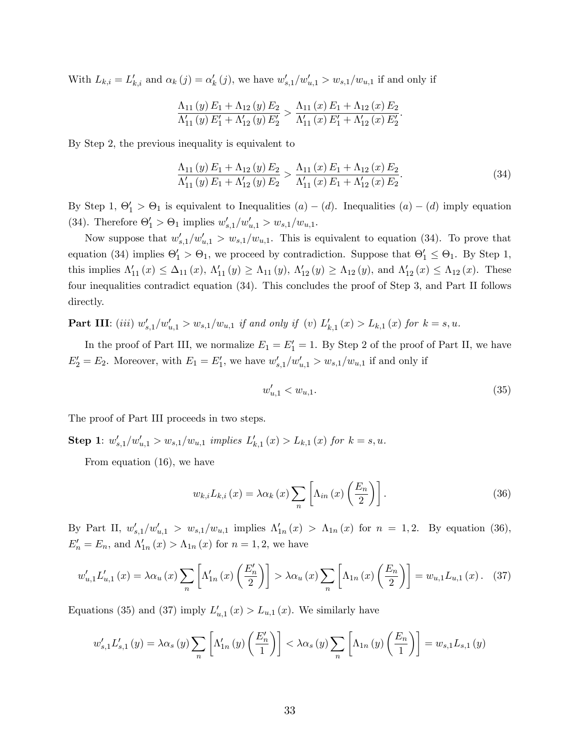With  $L_{k,i} = L'_{k,i}$  and  $\alpha_k(j) = \alpha'_k(j)$ , we have  $w'_{s,1}/w'_{u,1} > w_{s,1}/w_{u,1}$  if and only if

$$
\frac{\Lambda_{11}(y) E_1 + \Lambda_{12}(y) E_2}{\Lambda'_{11}(y) E'_1 + \Lambda'_{12}(y) E'_2} > \frac{\Lambda_{11}(x) E_1 + \Lambda_{12}(x) E_2}{\Lambda'_{11}(x) E'_1 + \Lambda'_{12}(x) E'_2}.
$$

By Step 2, the previous inequality is equivalent to

$$
\frac{\Lambda_{11}(y) E_1 + \Lambda_{12}(y) E_2}{\Lambda'_{11}(y) E_1 + \Lambda'_{12}(y) E_2} > \frac{\Lambda_{11}(x) E_1 + \Lambda_{12}(x) E_2}{\Lambda'_{11}(x) E_1 + \Lambda'_{12}(x) E_2}.
$$
\n(34)

By Step 1,  $\Theta'_1 > \Theta_1$  is equivalent to Inequalities  $(a) - (d)$ . Inequalities  $(a) - (d)$  imply equation (34). Therefore  $\Theta'_1 > \Theta_1$  implies  $w'_{s,1}/w'_{u,1} > w_{s,1}/w_{u,1}$ .

Now suppose that  $w'_{s,1}/w'_{u,1} > w_{s,1}/w_{u,1}$ . This is equivalent to equation (34). To prove that equation (34) implies  $\Theta'_1 > \Theta_1$ , we proceed by contradiction. Suppose that  $\Theta'_1 \leq \Theta_1$ . By Step 1, this implies  $\Lambda'_{11}(x) \leq \Delta_{11}(x)$ ,  $\Lambda'_{11}(y) \geq \Lambda_{11}(y)$ ,  $\Lambda'_{12}(y) \geq \Lambda_{12}(y)$ , and  $\Lambda'_{12}(x) \leq \Lambda_{12}(x)$ . These four inequalities contradict equation (34). This concludes the proof of Step 3, and Part II follows directly.

**Part III**: (iii)  $w'_{s,1}/w'_{u,1} > w_{s,1}/w_{u,1}$  if and only if (v)  $L'_{k,1}(x) > L_{k,1}(x)$  for  $k = s, u$ .

In the proof of Part III, we normalize  $E_1 = E_1' = 1$ . By Step 2 of the proof of Part II, we have  $E_2' = E_2$ . Moreover, with  $E_1 = E_1'$ , we have  $w'_{s,1}/w'_{u,1} > w_{s,1}/w_{u,1}$  if and only if

$$
w'_{u,1} < w_{u,1}.\tag{35}
$$

The proof of Part III proceeds in two steps.

**Step 1**:  $w'_{s,1}/w'_{u,1} > w_{s,1}/w_{u,1}$  implies  $L'_{k,1}(x) > L_{k,1}(x)$  for  $k = s, u$ .

From equation (16), we have

$$
w_{k,i}L_{k,i}\left(x\right) = \lambda\alpha_k\left(x\right)\sum_{n}\left[\Lambda_{in}\left(x\right)\left(\frac{E_n}{2}\right)\right].\tag{36}
$$

By Part II,  $w'_{s,1}/w'_{u,1} > w_{s,1}/w_{u,1}$  implies  $\Lambda'_{1n}(x) > \Lambda_{1n}(x)$  for  $n = 1,2$ . By equation (36),  $E'_{n} = E_{n}$ , and  $\Lambda'_{1n}(x) > \Lambda_{1n}(x)$  for  $n = 1, 2$ , we have

$$
w'_{u,1}L'_{u,1}(x) = \lambda \alpha_u(x) \sum_n \left[ \Lambda'_{1n}(x) \left( \frac{E'_n}{2} \right) \right] > \lambda \alpha_u(x) \sum_n \left[ \Lambda_{1n}(x) \left( \frac{E_n}{2} \right) \right] = w_{u,1}L_{u,1}(x). \tag{37}
$$

Equations (35) and (37) imply  $L'_{u,1}(x) > L_{u,1}(x)$ . We similarly have

$$
w'_{s,1}L'_{s,1}(y) = \lambda \alpha_s(y) \sum_{n} \left[ \Lambda'_{1n}(y) \left( \frac{E'_n}{1} \right) \right] < \lambda \alpha_s(y) \sum_{n} \left[ \Lambda_{1n}(y) \left( \frac{E_n}{1} \right) \right] = w_{s,1}L_{s,1}(y)
$$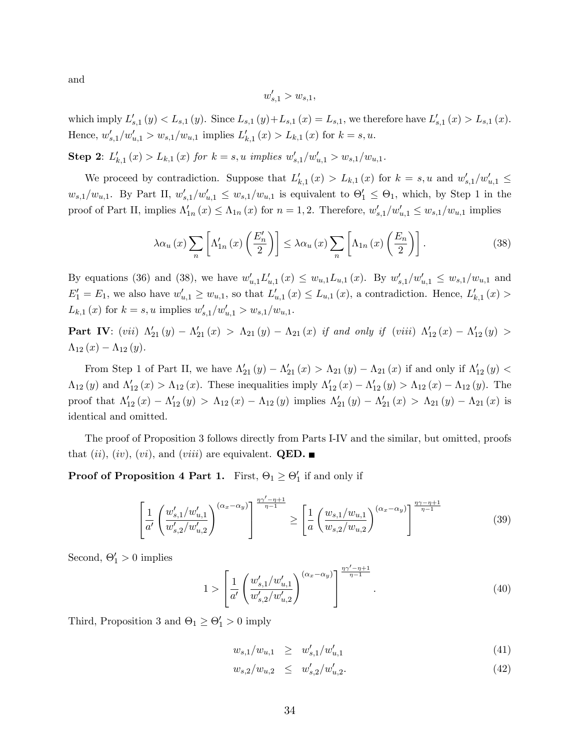and

$$
w'_{s,1} > w_{s,1},
$$

which imply  $L'_{s,1}(y) < L_{s,1}(y)$ . Since  $L_{s,1}(y) + L_{s,1}(x) = L_{s,1}$ , we therefore have  $L'_{s,1}(x) > L_{s,1}(x)$ . Hence,  $w'_{s,1}/w'_{u,1} > w_{s,1}/w_{u,1}$  implies  $L'_{k,1}(x) > L_{k,1}(x)$  for  $k = s, u$ .

**Step 2:**  $L'_{k,1}(x) > L_{k,1}(x)$  for  $k = s$ , *u* implies  $w'_{s,1}/w'_{u,1} > w_{s,1}/w_{u,1}$ .

We proceed by contradiction. Suppose that  $L'_{k,1}(x) > L_{k,1}(x)$  for  $k = s, u$  and  $w'_{s,1}/w'_{u,1} \leq$  $w_{s,1}/w_{u,1}$ . By Part II,  $w'_{s,1}/w'_{u,1} \leq w_{s,1}/w_{u,1}$  is equivalent to  $\Theta'_1 \leq \Theta_1$ , which, by Step 1 in the proof of Part II, implies  $\Lambda'_{1n}(x) \leq \Lambda_{1n}(x)$  for  $n = 1, 2$ . Therefore,  $w'_{s,1}/w'_{u,1} \leq w_{s,1}/w_{u,1}$  implies

$$
\lambda \alpha_u(x) \sum_n \left[ \Lambda'_{1n}(x) \left( \frac{E'_n}{2} \right) \right] \leq \lambda \alpha_u(x) \sum_n \left[ \Lambda_{1n}(x) \left( \frac{E_n}{2} \right) \right]. \tag{38}
$$

By equations (36) and (38), we have  $w'_{u,1}L'_{u,1}(x) \leq w_{u,1}L_{u,1}(x)$ . By  $w'_{s,1}/w'_{u,1} \leq w_{s,1}/w_{u,1}$  and  $E_1' = E_1$ , we also have  $w'_{u,1} \ge w_{u,1}$ , so that  $L'_{u,1}(x) \le L_{u,1}(x)$ , a contradiction. Hence,  $L'_{k,1}(x)$  $L_{k,1}(x)$  for  $k = s, u$  implies  $w'_{s,1}/w'_{u,1} > w_{s,1}/w_{u,1}$ .

**Part IV**:  $(vii)$   $\Lambda'_{21}(y) - \Lambda'_{21}(x) > \Lambda_{21}(y) - \Lambda_{21}(x)$  if and only if  $(viii)$   $\Lambda'_{12}(x) - \Lambda'_{12}(y) >$  $\Lambda_{12} (x) - \Lambda_{12} (y)$ .

From Step 1 of Part II, we have  $\Lambda'_{21}(y) - \Lambda'_{21}(x) > \Lambda_{21}(y) - \Lambda_{21}(x)$  if and only if  $\Lambda'_{12}(y) <$  $\Lambda_{12}(y)$  and  $\Lambda'_{12}(x) > \Lambda_{12}(x)$ . These inequalities imply  $\Lambda'_{12}(x) - \Lambda'_{12}(y) > \Lambda_{12}(x) - \Lambda_{12}(y)$ . The proof that  $\Lambda'_{12}(x) - \Lambda'_{12}(y) > \Lambda_{12}(x) - \Lambda_{12}(y)$  implies  $\Lambda'_{21}(y) - \Lambda'_{21}(x) > \Lambda_{21}(y) - \Lambda_{21}(x)$  is identical and omitted.

The proof of Proposition 3 follows directly from Parts I-IV and the similar, but omitted, proofs that (ii), (iv), (vi), and (viii) are equivalent. **QED.** 

**Proof of Proposition 4 Part 1.** First,  $\Theta_1 \ge \Theta'_1$  if and only if

$$
\left[\frac{1}{a'}\left(\frac{w'_{s,1}/w'_{u,1}}{w'_{s,2}/w'_{u,2}}\right)^{(\alpha_x-\alpha_y)}\right]^{\frac{\eta\gamma'-\eta+1}{\eta-1}} \ge \left[\frac{1}{a}\left(\frac{w_{s,1}/w_{u,1}}{w_{s,2}/w_{u,2}}\right)^{(\alpha_x-\alpha_y)}\right]^{\frac{\eta\gamma-\eta+1}{\eta-1}}
$$
(39)

Second,  $\Theta'_1 > 0$  implies

$$
1 > \left[\frac{1}{a'}\left(\frac{w_{s,1}'/w_{u,1}'}{w_{s,2}'/w_{u,2}'}\right)^{(\alpha_x - \alpha_y)}\right]^{\frac{\eta\gamma' - \eta + 1}{\eta - 1}}.
$$
\n(40)

Third, Proposition 3 and  $\Theta_1 \ge \Theta'_1 > 0$  imply

$$
w_{s,1}/w_{u,1} \geq w'_{s,1}/w'_{u,1} \tag{41}
$$

$$
w_{s,2}/w_{u,2} \leq w'_{s,2}/w'_{u,2}.\tag{42}
$$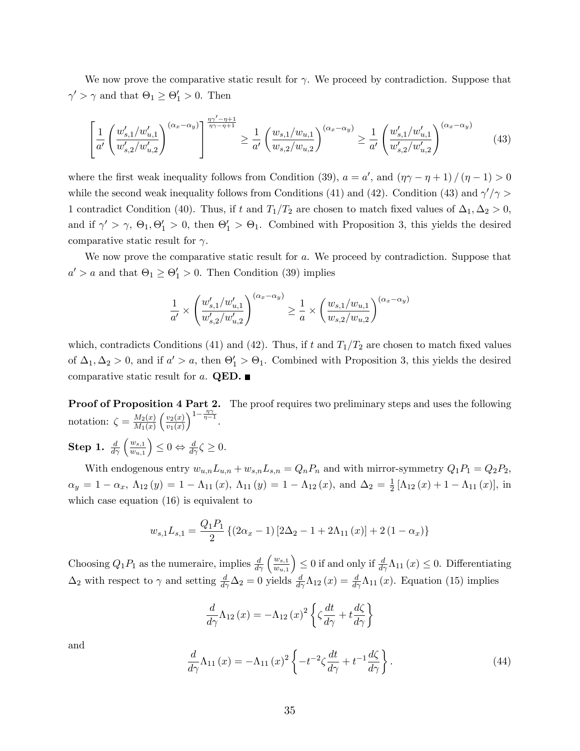We now prove the comparative static result for  $\gamma$ . We proceed by contradiction. Suppose that  $\gamma' > \gamma$  and that  $\Theta_1 \ge \Theta_1' > 0$ . Then

$$
\left[\frac{1}{a'}\left(\frac{w'_{s,1}/w'_{u,1}}{w'_{s,2}/w'_{u,2}}\right)^{(\alpha_x-\alpha_y)}\right]^{\frac{\eta\gamma'-\eta+1}{\eta\gamma-\eta+1}} \ge \frac{1}{a'}\left(\frac{w_{s,1}/w_{u,1}}{w_{s,2}/w_{u,2}}\right)^{(\alpha_x-\alpha_y)} \ge \frac{1}{a'}\left(\frac{w'_{s,1}/w'_{u,1}}{w'_{s,2}/w'_{u,2}}\right)^{(\alpha_x-\alpha_y)}\tag{43}
$$

where the first weak inequality follows from Condition (39),  $a = a'$ , and  $(\eta \gamma - \eta + 1)/(\eta - 1) > 0$ while the second weak inequality follows from Conditions (41) and (42). Condition (43) and  $\gamma'$ / $\gamma$  > 1 contradict Condition (40). Thus, if t and  $T_1/T_2$  are chosen to match fixed values of  $\Delta_1, \Delta_2 > 0$ , and if  $\gamma' > \gamma$ ,  $\Theta_1$ ,  $\Theta'_1 > 0$ , then  $\Theta'_1 > \Theta_1$ . Combined with Proposition 3, this yields the desired comparative static result for  $\gamma$ .

We now prove the comparative static result for a. We proceed by contradiction. Suppose that  $a' > a$  and that  $\Theta_1 \ge \Theta'_1 > 0$ . Then Condition (39) implies

$$
\frac{1}{a'} \times \left(\frac{w'_{s,1}/w'_{u,1}}{w'_{s,2}/w'_{u,2}}\right)^{(\alpha_x - \alpha_y)} \ge \frac{1}{a} \times \left(\frac{w_{s,1}/w_{u,1}}{w_{s,2}/w_{u,2}}\right)^{(\alpha_x - \alpha_y)}
$$

which, contradicts Conditions (41) and (42). Thus, if t and  $T_1/T_2$  are chosen to match fixed values of  $\Delta_1, \Delta_2 > 0$ , and if  $a' > a$ , then  $\Theta'_1 > \Theta_1$ . Combined with Proposition 3, this yields the desired comparative static result for a. **QED.** 

Proof of Proposition 4 Part 2. The proof requires two preliminary steps and uses the following notation:  $\zeta = \frac{M_2(x)}{M_1(x)}$  $M_1(x)$  $\int v_2(x)$  $v_1(x)$  $1-\frac{\eta\gamma}{\eta-1}$ .  $\textbf{Step 1.}~~\frac{d}{d\gamma}\left(\frac{w_{s,1}}{w_{u,1}}\right)$  $\overline{w_{u,1}}$  $\Big) \leq 0 \Leftrightarrow \frac{d}{d\gamma}\zeta \geq 0.$ 

With endogenous entry  $w_{u,n}L_{u,n} + w_{s,n}L_{s,n} = Q_nP_n$  and with mirror-symmetry  $Q_1P_1 = Q_2P_2$ ,  $\alpha_y = 1 - \alpha_x, \ \Lambda_{12} (y) = 1 - \Lambda_{11} (x), \ \Lambda_{11} (y) = 1 - \Lambda_{12} (x), \ \text{and} \ \Delta_2 = \frac{1}{2}$  $\frac{1}{2} [\Lambda_{12}(x) + 1 - \Lambda_{11}(x)],$  in which case equation (16) is equivalent to

$$
w_{s,1}L_{s,1} = \frac{Q_1P_1}{2} \left\{ (2\alpha_x - 1) \left[ 2\Delta_2 - 1 + 2\Lambda_{11}(x) \right] + 2\left( 1 - \alpha_x \right) \right\}
$$

Choosing  $Q_1P_1$  as the numeraire, implies  $\frac{d}{d\gamma}\left(\frac{w_{s,1}}{w_{u,1}}\right)$  $w_{u,1}$  $\left( \begin{array}{c} 0 \leq 0 \leq 0 \leq 0 \leq \frac{d}{d} \Delta_{11}(x) \leq 0. \end{array} \right)$  Differentiating  $\Delta_2$  with respect to  $\gamma$  and setting  $\frac{d}{d\gamma}\Delta_2=0$  yields  $\frac{d}{d\gamma}\Lambda_{12}(x)=\frac{d}{d\gamma}\Lambda_{11}(x)$ . Equation (15) implies

$$
\frac{d}{d\gamma}\Lambda_{12}(x) = -\Lambda_{12}(x)^2 \left\{ \zeta \frac{dt}{d\gamma} + t \frac{d\zeta}{d\gamma} \right\}
$$

and

$$
\frac{d}{d\gamma}\Lambda_{11}(x) = -\Lambda_{11}(x)^2 \left\{ -t^{-2}\zeta \frac{dt}{d\gamma} + t^{-1}\frac{d\zeta}{d\gamma} \right\}.
$$
\n(44)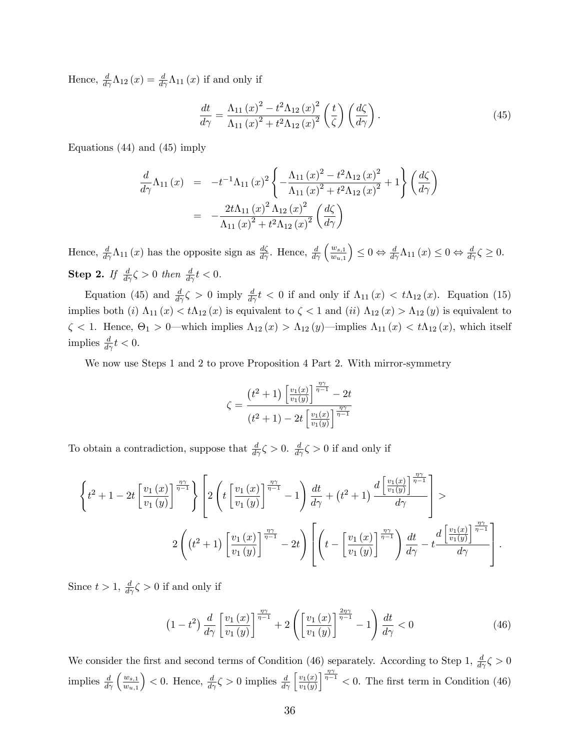Hence,  $\frac{d}{d\gamma}\Lambda_{12}(x) = \frac{d}{d\gamma}\Lambda_{11}(x)$  if and only if

$$
\frac{dt}{d\gamma} = \frac{\Lambda_{11}(x)^2 - t^2 \Lambda_{12}(x)^2}{\Lambda_{11}(x)^2 + t^2 \Lambda_{12}(x)^2} \left(\frac{t}{\zeta}\right) \left(\frac{d\zeta}{d\gamma}\right). \tag{45}
$$

Equations (44) and (45) imply

$$
\frac{d}{d\gamma} \Lambda_{11}(x) = -t^{-1} \Lambda_{11}(x)^2 \left\{ -\frac{\Lambda_{11}(x)^2 - t^2 \Lambda_{12}(x)^2}{\Lambda_{11}(x)^2 + t^2 \Lambda_{12}(x)^2} + 1 \right\} \left( \frac{d\zeta}{d\gamma} \right)
$$

$$
= -\frac{2t \Lambda_{11}(x)^2 \Lambda_{12}(x)^2}{\Lambda_{11}(x)^2 + t^2 \Lambda_{12}(x)^2} \left( \frac{d\zeta}{d\gamma} \right)
$$

Hence,  $\frac{d}{d\gamma} \Lambda_{11}(x)$  has the opposite sign as  $\frac{d\zeta}{d\gamma}$ . Hence,  $\frac{d}{d\gamma} \left(\frac{w_{s,1}}{w_{u,1}}\right)$  $\overline{w_{u,1}}$  $\Big) \leq 0 \Leftrightarrow \frac{d}{d\gamma} \Lambda_{11} (x) \leq 0 \Leftrightarrow \frac{d}{d\gamma} \zeta \geq 0.$ **Step 2.** If  $\frac{d}{d\gamma}\zeta > 0$  then  $\frac{d}{d\gamma}t < 0$ .

Equation (45) and  $\frac{d}{d\gamma}\zeta > 0$  imply  $\frac{d}{d\gamma}t < 0$  if and only if  $\Lambda_{11}(x) < t\Lambda_{12}(x)$ . Equation (15) implies both (i)  $\Lambda_{11}(x) < t\Lambda_{12}(x)$  is equivalent to  $\zeta < 1$  and (ii)  $\Lambda_{12}(x) > \Lambda_{12}(y)$  is equivalent to  $\zeta$  < 1. Hence,  $\Theta_1 > 0$ —which implies  $\Lambda_{12}(x) > \Lambda_{12}(y)$ —implies  $\Lambda_{11}(x) < t\Lambda_{12}(x)$ , which itself implies  $\frac{d}{d\gamma}t < 0$ .

We now use Steps 1 and 2 to prove Proposition 4 Part 2. With mirror-symmetry

$$
\zeta = \frac{\left(t^2 + 1\right) \left[\frac{v_1(x)}{v_1(y)}\right]^{\frac{\eta \gamma}{\eta - 1}} - 2t}{\left(t^2 + 1\right) - 2t \left[\frac{v_1(x)}{v_1(y)}\right]^{\frac{\eta \gamma}{\eta - 1}}}
$$

To obtain a contradiction, suppose that  $\frac{d}{d\gamma}\zeta > 0$ .  $\frac{d}{d\gamma}\zeta > 0$  if and only if

$$
\left\{t^2 + 1 - 2t \left[\frac{v_1(x)}{v_1(y)}\right]^{\frac{\eta\gamma}{\eta-1}}\right\} \left[2\left(t\left[\frac{v_1(x)}{v_1(y)}\right]^{\frac{\eta\gamma}{\eta-1}} - 1\right] \frac{dt}{d\gamma} + \left(t^2 + 1\right) \frac{d\left[\frac{v_1(x)}{v_1(y)}\right]^{\frac{\eta\gamma}{\eta-1}}}{d\gamma}\right] > 2\left(\left(t^2 + 1\right)\left[\frac{v_1(x)}{v_1(y)}\right]^{\frac{\eta\gamma}{\eta-1}} - 2t\right) \left[\left(t - \left[\frac{v_1(x)}{v_1(y)}\right]^{\frac{\eta\gamma}{\eta-1}}\right] \frac{dt}{d\gamma} - t \frac{d\left[\frac{v_1(x)}{v_1(y)}\right]^{\frac{\eta\gamma}{\eta-1}}}{d\gamma}\right].
$$

Since  $t > 1$ ,  $\frac{d}{d\gamma}\zeta > 0$  if and only if

$$
\left(1-t^2\right)\frac{d}{d\gamma}\left[\frac{v_1\left(x\right)}{v_1\left(y\right)}\right]^{\frac{\eta\gamma}{\eta-1}}+2\left(\left[\frac{v_1\left(x\right)}{v_1\left(y\right)}\right]^{\frac{2\eta\gamma}{\eta-1}}-1\right)\frac{dt}{d\gamma}<0\tag{46}
$$

We consider the first and second terms of Condition (46) separately. According to Step 1,  $\frac{d}{d\gamma}\zeta > 0$ implies  $\frac{d}{d\gamma} \left(\frac{w_{s,1}}{w_{u,1}}\right)$  $\overline{w_{u,1}}$  $\left( 0. \text{ Hence, } \frac{d}{d\gamma} \zeta > 0 \text{ implies } \frac{d}{d\gamma} \left[ \frac{v_1(x)}{v_1(y)} \right]$  $v_1(y)$  $\frac{n\gamma}{n-1}$  < 0. The first term in Condition (46)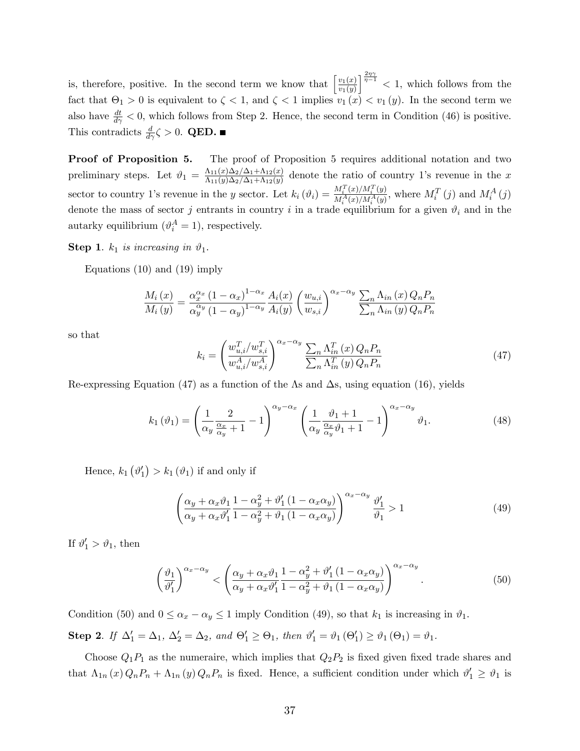is, therefore, positive. In the second term we know that  $\left[\frac{v_1(x)}{v_1(x)}\right]$  $v_1(y)$  $\int_{0}^{\frac{2\eta\gamma}{\eta-1}}$  < 1, which follows from the fact that  $\Theta_1 > 0$  is equivalent to  $\zeta < 1$ , and  $\zeta < 1$  implies  $v_1(x) < v_1(y)$ . In the second term we also have  $\frac{dt}{d\gamma} < 0$ , which follows from Step 2. Hence, the second term in Condition (46) is positive. This contradicts  $\frac{d}{d\gamma}\zeta > 0$ . **QED.** 

Proof of Proposition 5. The proof of Proposition 5 requires additional notation and two preliminary steps. Let  $\vartheta_1 = \frac{\Lambda_{11}(x)\Delta_2/\Delta_1 + \Lambda_{12}(x)}{\Lambda_{11}(y)\Delta_2/\Delta_1 + \Lambda_{12}(y)}$  $\frac{\Lambda_{11}(x)\Delta_2/\Delta_1+\Lambda_{12}(x)}{\Lambda_{11}(y)\Delta_2/\Delta_1+\Lambda_{12}(y)}$  denote the ratio of country 1's revenue in the x sector to country 1's revenue in the y sector. Let  $k_i(\vartheta_i) = \frac{M_i^T(x)/M_i^T(y)}{M^A(x)/M^A(y)}$  $\frac{M_i^T(x)/M_i^T(y)}{M_i^A(x)/M_i^A(y)}$ , where  $M_i^T(j)$  and  $M_i^A(j)$ denote the mass of sector j entrants in country i in a trade equilibrium for a given  $\vartheta_i$  and in the autarky equilibrium  $(\vartheta_i^A = 1)$ , respectively.

**Step 1.**  $k_1$  is increasing in  $\vartheta_1$ .

Equations (10) and (19) imply

$$
\frac{M_i(x)}{M_i(y)} = \frac{\alpha_x^{\alpha_x} (1 - \alpha_x)^{1 - \alpha_x} A_i(x)}{\alpha_y^{\alpha_y} (1 - \alpha_y)^{1 - \alpha_y} A_i(y)} \left(\frac{w_{u,i}}{w_{s,i}}\right)^{\alpha_x - \alpha_y} \frac{\sum_n \Lambda_{in}(x) Q_n P_n}{\sum_n \Lambda_{in}(y) Q_n P_n}
$$

so that

$$
k_i = \left(\frac{w_{u,i}^T / w_{s,i}^T}{w_{u,i}^A / w_{s,i}^A}\right)^{\alpha_x - \alpha_y} \frac{\sum_n \Lambda_{in}^T(x) Q_n P_n}{\sum_n \Lambda_{in}^T(y) Q_n P_n}
$$
(47)

Re-expressing Equation (47) as a function of the As and  $\Delta s$ , using equation (16), yields

$$
k_1(\vartheta_1) = \left(\frac{1}{\alpha_y} \frac{2}{\frac{\alpha_x}{\alpha_y} + 1} - 1\right)^{\alpha_y - \alpha_x} \left(\frac{1}{\alpha_y} \frac{\vartheta_1 + 1}{\frac{\alpha_x}{\alpha_y} \vartheta_1 + 1} - 1\right)^{\alpha_x - \alpha_y} \vartheta_1.
$$
 (48)

Hence,  $k_1(\vartheta_1') > k_1(\vartheta_1)$  if and only if

$$
\left(\frac{\alpha_y + \alpha_x \vartheta_1}{\alpha_y + \alpha_x \vartheta_1'} \frac{1 - \alpha_y^2 + \vartheta_1' (1 - \alpha_x \alpha_y)}{1 - \alpha_y^2 + \vartheta_1 (1 - \alpha_x \alpha_y)}\right)^{\alpha_x - \alpha_y} \frac{\vartheta_1'}{\vartheta_1} > 1
$$
\n(49)

If  $\vartheta_1' > \vartheta_1$ , then

$$
\left(\frac{\vartheta_1}{\vartheta_1'}\right)^{\alpha_x-\alpha_y} < \left(\frac{\alpha_y+\alpha_x\vartheta_1}{\alpha_y+\alpha_x\vartheta_1'}\frac{1-\alpha_y^2+\vartheta_1'(1-\alpha_x\alpha_y)}{1-\alpha_y^2+\vartheta_1(1-\alpha_x\alpha_y)}\right)^{\alpha_x-\alpha_y}.\tag{50}
$$

Condition (50) and  $0 \le \alpha_x - \alpha_y \le 1$  imply Condition (49), so that  $k_1$  is increasing in  $\vartheta_1$ .

**Step 2.** If  $\Delta_1' = \Delta_1$ ,  $\Delta_2' = \Delta_2$ , and  $\Theta_1' \ge \Theta_1$ , then  $\vartheta_1' = \vartheta_1 (\Theta_1') \ge \vartheta_1 (\Theta_1) = \vartheta_1$ .

Choose  $Q_1P_1$  as the numeraire, which implies that  $Q_2P_2$  is fixed given fixed trade shares and that  $\Lambda_{1n}(x) Q_n P_n + \Lambda_{1n}(y) Q_n P_n$  is fixed. Hence, a sufficient condition under which  $\vartheta'_1 \ge \vartheta_1$  is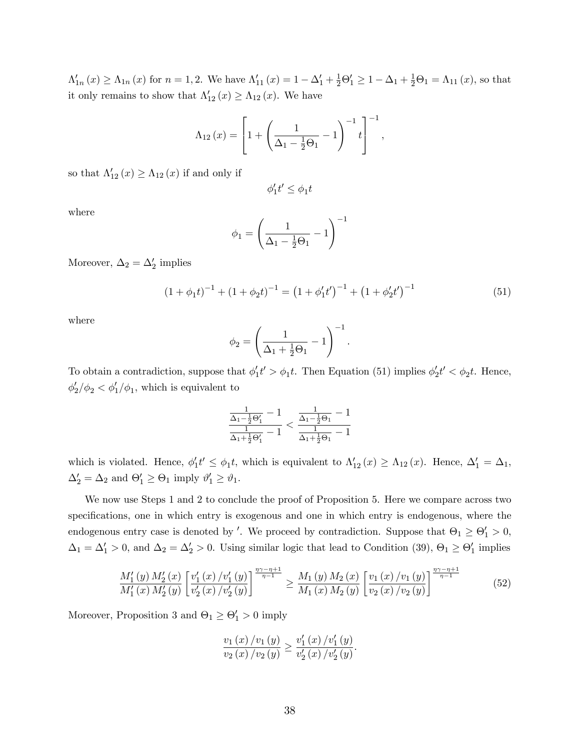$\Lambda'_{1n}(x) \geq \Lambda_{1n}(x)$  for  $n = 1, 2$ . We have  $\Lambda'_{11}(x) = 1 - \Delta'_1 + \frac{1}{2}\Theta'_1 \geq 1 - \Delta_1 + \frac{1}{2}\Theta_1 = \Lambda_{11}(x)$ , so that it only remains to show that  $\Lambda'_{12}(x) \geq \Lambda_{12}(x)$ . We have

$$
\Lambda_{12}(x) = \left[1 + \left(\frac{1}{\Delta_1 - \frac{1}{2}\Theta_1} - 1\right)^{-1} t\right]^{-1},
$$

so that  $\Lambda'_{12}(x) \geq \Lambda_{12}(x)$  if and only if

$$
\phi_1't' \le \phi_1 t
$$

where

$$
\phi_1 = \left(\frac{1}{\Delta_1 - \frac{1}{2}\Theta_1} - 1\right)^{-1}
$$

Moreover,  $\Delta_2 = \Delta'_2$  implies

$$
(1 + \phi_1 t)^{-1} + (1 + \phi_2 t)^{-1} = (1 + \phi_1' t')^{-1} + (1 + \phi_2' t')^{-1}
$$
\n(51)

where

$$
\phi_2 = \left(\frac{1}{\Delta_1 + \frac{1}{2}\Theta_1} - 1\right)^{-1}.
$$

To obtain a contradiction, suppose that  $\phi'_1 t' > \phi_1 t$ . Then Equation (51) implies  $\phi'_2 t' < \phi_2 t$ . Hence,  $\phi_2'/\phi_2 < \phi_1'/\phi_1$ , which is equivalent to

$$
\frac{\frac{1}{\Delta_1 - \frac{1}{2}\Theta_1'} - 1}{\frac{1}{\Delta_1 + \frac{1}{2}\Theta_1'} - 1} < \frac{\frac{1}{\Delta_1 - \frac{1}{2}\Theta_1} - 1}{\frac{1}{\Delta_1 + \frac{1}{2}\Theta_1} - 1}
$$

which is violated. Hence,  $\phi'_1 t' \leq \phi_1 t$ , which is equivalent to  $\Lambda'_{12}(x) \geq \Lambda_{12}(x)$ . Hence,  $\Delta'_{1} = \Delta_1$ ,  $\Delta'_2 = \Delta_2$  and  $\Theta'_1 \ge \Theta_1$  imply  $\vartheta'_1 \ge \vartheta_1$ .

We now use Steps 1 and 2 to conclude the proof of Proposition 5. Here we compare across two specifications, one in which entry is exogenous and one in which entry is endogenous, where the endogenous entry case is denoted by '. We proceed by contradiction. Suppose that  $\Theta_1 \ge \Theta'_1 > 0$ ,  $\Delta_1 = \Delta'_1 > 0$ , and  $\Delta_2 = \Delta'_2 > 0$ . Using similar logic that lead to Condition (39),  $\Theta_1 \ge \Theta'_1$  implies

$$
\frac{M_1'(y) M_2'(x)}{M_1'(x) M_2'(y)} \left[ \frac{v_1'(x) / v_1'(y)}{v_2'(x) / v_2'(y)} \right]^{\frac{\eta \gamma - \eta + 1}{\eta - 1}} \ge \frac{M_1(y) M_2(x)}{M_1(x) M_2(y)} \left[ \frac{v_1(x) / v_1(y)}{v_2(x) / v_2(y)} \right]^{\frac{\eta \gamma - \eta + 1}{\eta - 1}}
$$
(52)

Moreover, Proposition 3 and  $\Theta_1 \geq \Theta_1' > 0$  imply

$$
\frac{v_1(x)/v_1(y)}{v_2(x)/v_2(y)} \ge \frac{v'_1(x)/v'_1(y)}{v'_2(x)/v'_2(y)}.
$$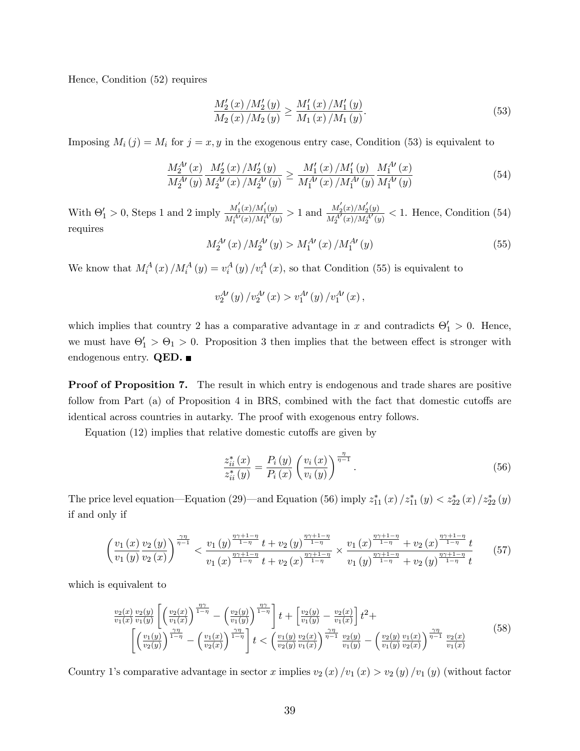Hence, Condition (52) requires

$$
\frac{M_2'(x)/M_2'(y)}{M_2(x)/M_2(y)} \ge \frac{M_1'(x)/M_1'(y)}{M_1(x)/M_1(y)}.\tag{53}
$$

Imposing  $M_i(j) = M_i$  for  $j = x, y$  in the exogenous entry case, Condition (53) is equivalent to

$$
\frac{M_2^{A\prime}(x)}{M_2^{A\prime}(y)} \frac{M_2'(x)/M_2'(y)}{M_2^{A\prime}(x)/M_2^{A\prime}(y)} \ge \frac{M_1'(x)/M_1'(y)}{M_1^{A\prime}(x)/M_1^{A\prime}(y)} \frac{M_1^{A\prime}(x)}{M_1^{A\prime}(y)}
$$
(54)

With  $\Theta'_1 > 0$ , Steps 1 and 2 imply  $\frac{M'_1(x)/M'_1(y)}{M^{A'}(x)/M^{A'}(y)}$  $\frac{M_1^{'}(x)/M_1^{'}(y)}{M_1^{A'}(x)/M_1^{A'}(y)} > 1$  and  $\frac{M_2^{'}(x)/M_2^{'}(y)}{M_2^{A'}(x)/M_2^{A'}(y)}$  $\frac{M_2(x)/M_2(y)}{M_2^{A'}(x)/M_2^{A'}(y)} < 1$ . Hence, Condition (54) requires

$$
M_2^{A\prime}(x) / M_2^{A\prime}(y) > M_1^{A\prime}(x) / M_1^{A\prime}(y)
$$
\n(55)

We know that  $M_i^A(x)/M_i^A(y) = v_i^A(y)/v_i^A(x)$ , so that Condition (55) is equivalent to

$$
v_2^{A\prime}(y)/v_2^{A\prime}(x) > v_1^{A\prime}(y)/v_1^{A\prime}(x),
$$

which implies that country 2 has a comparative advantage in x and contradicts  $\Theta'_1 > 0$ . Hence, we must have  $\Theta_1' > \Theta_1 > 0$ . Proposition 3 then implies that the between effect is stronger with endogenous entry.  $QED.$ 

**Proof of Proposition 7.** The result in which entry is endogenous and trade shares are positive follow from Part  $(a)$  of Proposition 4 in BRS, combined with the fact that domestic cutoffs are identical across countries in autarky. The proof with exogenous entry follows.

Equation  $(12)$  implies that relative domestic cutoffs are given by

$$
\frac{z_{ii}^*(x)}{z_{ii}^*(y)} = \frac{P_i(y)}{P_i(x)} \left(\frac{v_i(x)}{v_i(y)}\right)^{\frac{\eta}{\eta-1}}.
$$
\n(56)

The price level equation—Equation (29)—and Equation (56) imply  $z_{11}^*(x)/z_{11}^*(y) < z_{22}^*(x)/z_{22}^*(y)$ if and only if

$$
\left(\frac{v_1\left(x\right)v_2\left(y\right)}{v_1\left(y\right)v_2\left(x\right)}\right)^{\frac{\gamma\eta}{\eta-1}} < \frac{v_1\left(y\right)^{\frac{\eta\gamma+1-\eta}{1-\eta}}t + v_2\left(y\right)^{\frac{\eta\gamma+1-\eta}{1-\eta}}}{v_1\left(x\right)^{\frac{\eta\gamma+1-\eta}{1-\eta}}t + v_2\left(x\right)^{\frac{\eta\gamma+1-\eta}{1-\eta}} \times \frac{v_1\left(x\right)^{\frac{\eta\gamma+1-\eta}{1-\eta}}+v_2\left(x\right)^{\frac{\eta\gamma+1-\eta}{1-\eta}}t}{v_1\left(y\right)^{\frac{\eta\gamma+1-\eta}{1-\eta}}+v_2\left(y\right)^{\frac{\eta\gamma+1-\eta}{1-\eta}}t} \tag{57}
$$

which is equivalent to

$$
\frac{v_2(x)}{v_1(x)} \frac{v_2(y)}{v_1(y)} \left[ \left( \frac{v_2(x)}{v_1(x)} \right)^{\frac{\gamma \gamma}{1-\eta}} - \left( \frac{v_2(y)}{v_1(y)} \right)^{\frac{\gamma \gamma}{1-\eta}} \right] t + \left[ \frac{v_2(y)}{v_1(y)} - \frac{v_2(x)}{v_1(x)} \right] t^2 + \left[ \left( \frac{v_1(y)}{v_2(y)} \right)^{\frac{\gamma \gamma}{1-\eta}} - \left( \frac{v_1(x)}{v_2(x)} \right)^{\frac{\gamma \gamma}{1-\eta}} \right] t < \left( \frac{v_1(y)}{v_2(y)} \frac{v_2(x)}{v_1(x)} \right)^{\frac{\gamma \gamma}{\eta-1}} \frac{v_2(y)}{v_1(y)} - \left( \frac{v_2(y)}{v_1(y)} \frac{v_1(x)}{v_2(x)} \right)^{\frac{\gamma \eta}{\eta-1}} \frac{v_2(x)}{v_1(x)} \tag{58}
$$

Country 1's comparative advantage in sector x implies  $v_2(x)/v_1(x) > v_2(y)/v_1(y)$  (without factor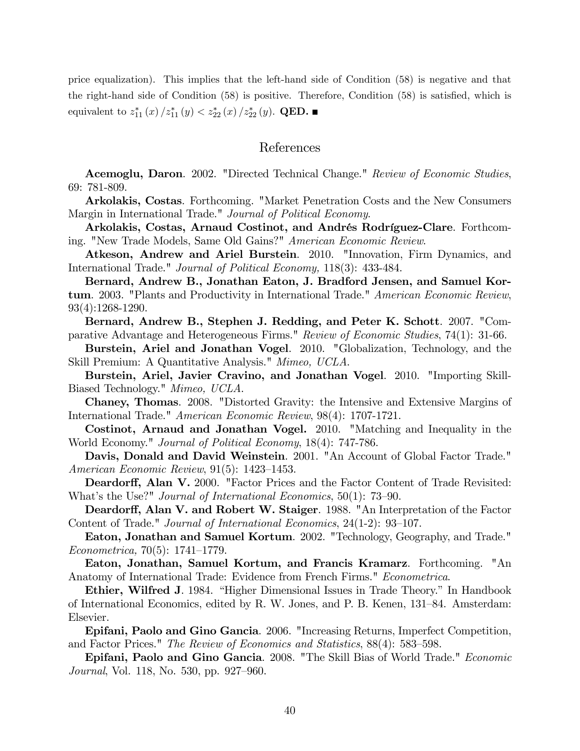price equalization). This implies that the left-hand side of Condition (58) is negative and that the right-hand side of Condition  $(58)$  is positive. Therefore, Condition  $(58)$  is satisfied, which is equivalent to  $z_{11}^*(x)/z_{11}^*(y) < z_{22}^*(x)/z_{22}^*(y)$ . QED.

#### References

Acemoglu, Daron. 2002. "Directed Technical Change." Review of Economic Studies, 69: 781-809.

Arkolakis, Costas. Forthcoming. "Market Penetration Costs and the New Consumers Margin in International Trade." Journal of Political Economy.

Arkolakis, Costas, Arnaud Costinot, and Andrés Rodríguez-Clare. Forthcoming. "New Trade Models, Same Old Gains?" American Economic Review.

Atkeson, Andrew and Ariel Burstein. 2010. "Innovation, Firm Dynamics, and International Trade." Journal of Political Economy, 118(3): 433-484.

Bernard, Andrew B., Jonathan Eaton, J. Bradford Jensen, and Samuel Kortum. 2003. "Plants and Productivity in International Trade." American Economic Review, 93(4):1268-1290.

Bernard, Andrew B., Stephen J. Redding, and Peter K. Schott. 2007. "Comparative Advantage and Heterogeneous Firms." Review of Economic Studies, 74(1): 31-66.

Burstein, Ariel and Jonathan Vogel. 2010. "Globalization, Technology, and the Skill Premium: A Quantitative Analysis." Mimeo, UCLA.

Burstein, Ariel, Javier Cravino, and Jonathan Vogel. 2010. "Importing Skill-Biased Technology." Mimeo, UCLA.

Chaney, Thomas. 2008. "Distorted Gravity: the Intensive and Extensive Margins of International Trade." American Economic Review, 98(4): 1707-1721.

Costinot, Arnaud and Jonathan Vogel. 2010. "Matching and Inequality in the World Economy." Journal of Political Economy, 18(4): 747-786.

Davis, Donald and David Weinstein. 2001. "An Account of Global Factor Trade." American Economic Review,  $91(5)$ : 1423-1453.

Deardorff, Alan V. 2000. "Factor Prices and the Factor Content of Trade Revisited: What's the Use?" Journal of International Economics,  $50(1)$ : 73–90.

Deardorff, Alan V. and Robert W. Staiger. 1988. "An Interpretation of the Factor Content of Trade." Journal of International Economics,  $24(1-2)$ : 93-107.

Eaton, Jonathan and Samuel Kortum. 2002. "Technology, Geography, and Trade."  $Econometrica, 70(5): 1741-1779.$ 

Eaton, Jonathan, Samuel Kortum, and Francis Kramarz. Forthcoming. "An Anatomy of International Trade: Evidence from French Firms." Econometrica.

Ethier, Wilfred J. 1984. "Higher Dimensional Issues in Trade Theory." In Handbook of International Economics, edited by R. W. Jones, and P. B. Kenen, 131–84. Amsterdam: Elsevier.

Epifani, Paolo and Gino Gancia. 2006. "Increasing Returns, Imperfect Competition, and Factor Prices." The Review of Economics and Statistics,  $88(4)$ : 583–598.

**Epifani, Paolo and Gino Gancia**. 2008. "The Skill Bias of World Trade." *Economic* Journal, Vol. 118, No. 530, pp. 927–960.